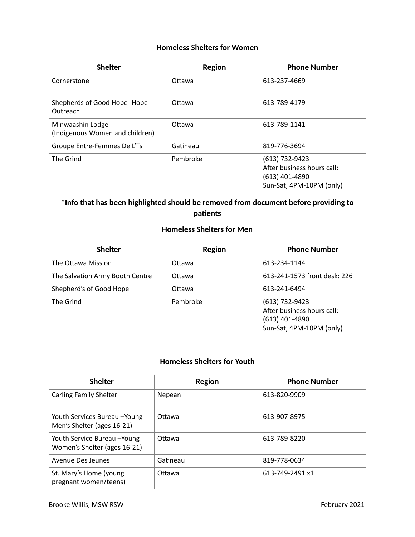## **Homeless Shelters for Women**

| <b>Shelter</b>                                      | Region   | <b>Phone Number</b>                                                                          |
|-----------------------------------------------------|----------|----------------------------------------------------------------------------------------------|
| Cornerstone                                         | Ottawa   | 613-237-4669                                                                                 |
| Shepherds of Good Hope-Hope<br>Outreach             | Ottawa   | 613-789-4179                                                                                 |
| Minwaashin Lodge<br>(Indigenous Women and children) | Ottawa   | 613-789-1141                                                                                 |
| Groupe Entre-Femmes De L'Ts                         | Gatineau | 819-776-3694                                                                                 |
| The Grind                                           | Pembroke | (613) 732-9423<br>After business hours call:<br>$(613)$ 401-4890<br>Sun-Sat, 4PM-10PM (only) |

# **\*Info that has been highlighted should be removed from document before providing to patients**

## **Homeless Shelters for Men**

| <b>Shelter</b>                  | Region   | <b>Phone Number</b>                                                                          |
|---------------------------------|----------|----------------------------------------------------------------------------------------------|
| The Ottawa Mission              | Ottawa   | 613-234-1144                                                                                 |
| The Salvation Army Booth Centre | Ottawa   | 613-241-1573 front desk: 226                                                                 |
| Shepherd's of Good Hope         | Ottawa   | 613-241-6494                                                                                 |
| The Grind                       | Pembroke | (613) 732-9423<br>After business hours call:<br>$(613)$ 401-4890<br>Sun-Sat, 4PM-10PM (only) |

# **Homeless Shelters for Youth**

| <b>Shelter</b>                                               | <b>Region</b> | <b>Phone Number</b> |
|--------------------------------------------------------------|---------------|---------------------|
| <b>Carling Family Shelter</b>                                | Nepean        | 613-820-9909        |
| Youth Services Bureau - Young<br>Men's Shelter (ages 16-21)  | Ottawa        | 613-907-8975        |
| Youth Service Bureau - Young<br>Women's Shelter (ages 16-21) | Ottawa        | 613-789-8220        |
| Avenue Des Jeunes                                            | Gatineau      | 819-778-0634        |
| St. Mary's Home (young<br>pregnant women/teens)              | Ottawa        | 613-749-2491 x1     |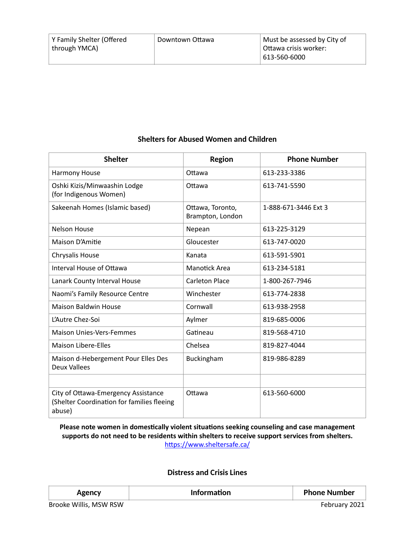#### **Shelters for Abused Women and Children**

| <b>Shelter</b>                                                                              | <b>Region</b>                        | <b>Phone Number</b>  |
|---------------------------------------------------------------------------------------------|--------------------------------------|----------------------|
| Harmony House                                                                               | Ottawa                               | 613-233-3386         |
| Oshki Kizis/Minwaashin Lodge<br>(for Indigenous Women)                                      | Ottawa                               | 613-741-5590         |
| Sakeenah Homes (Islamic based)                                                              | Ottawa, Toronto,<br>Brampton, London | 1-888-671-3446 Ext 3 |
| <b>Nelson House</b>                                                                         | Nepean                               | 613-225-3129         |
| Maison D'Amitie                                                                             | Gloucester                           | 613-747-0020         |
| <b>Chrysalis House</b>                                                                      | Kanata                               | 613-591-5901         |
| Interval House of Ottawa                                                                    | <b>Manotick Area</b>                 | 613-234-5181         |
| Lanark County Interval House                                                                | <b>Carleton Place</b>                | 1-800-267-7946       |
| Naomi's Family Resource Centre                                                              | Winchester                           | 613-774-2838         |
| <b>Maison Baldwin House</b>                                                                 | Cornwall                             | 613-938-2958         |
| L'Autre Chez-Soi                                                                            | Aylmer                               | 819-685-0006         |
| <b>Maison Unies-Vers-Femmes</b>                                                             | Gatineau                             | 819-568-4710         |
| <b>Maison Libere-Elles</b>                                                                  | Chelsea                              | 819-827-4044         |
| Maison d-Hebergement Pour Elles Des<br><b>Deux Vallees</b>                                  | Buckingham                           | 819-986-8289         |
|                                                                                             |                                      |                      |
| City of Ottawa-Emergency Assistance<br>(Shelter Coordination for families fleeing<br>abuse) | Ottawa                               | 613-560-6000         |

#### Please note women in domestically violent situations seeking counseling and case management **supports do not need to be residents within shelters to receive support services from shelters.**  https://www.sheltersafe.ca/

#### **Distress and Crisis Lines**

| TAN. | Information | <b>Phone Number</b> |
|------|-------------|---------------------|
|------|-------------|---------------------|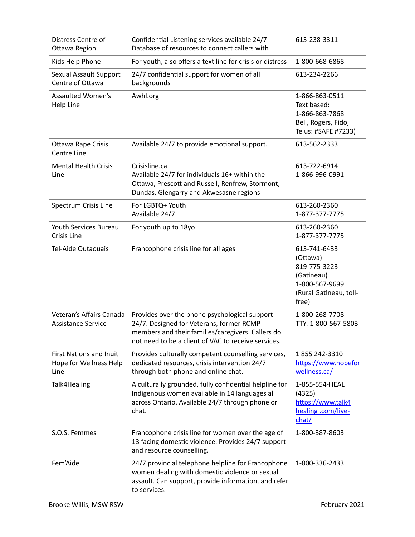| Distress Centre of<br>Ottawa Region                              | Confidential Listening services available 24/7<br>Database of resources to connect callers with                                                                                                       | 613-238-3311                                                                                                |
|------------------------------------------------------------------|-------------------------------------------------------------------------------------------------------------------------------------------------------------------------------------------------------|-------------------------------------------------------------------------------------------------------------|
| Kids Help Phone                                                  | For youth, also offers a text line for crisis or distress                                                                                                                                             | 1-800-668-6868                                                                                              |
| Sexual Assault Support<br>Centre of Ottawa                       | 24/7 confidential support for women of all<br>backgrounds                                                                                                                                             | 613-234-2266                                                                                                |
| Assaulted Women's<br>Help Line                                   | Awhl.org                                                                                                                                                                                              | 1-866-863-0511<br>Text based:<br>1-866-863-7868<br>Bell, Rogers, Fido,<br>Telus: #SAFE #7233)               |
| <b>Ottawa Rape Crisis</b><br>Centre Line                         | Available 24/7 to provide emotional support.                                                                                                                                                          | 613-562-2333                                                                                                |
| <b>Mental Health Crisis</b><br>Line                              | Crisisline.ca<br>Available 24/7 for individuals 16+ within the<br>Ottawa, Prescott and Russell, Renfrew, Stormont,<br>Dundas, Glengarry and Akwesasne regions                                         | 613-722-6914<br>1-866-996-0991                                                                              |
| Spectrum Crisis Line                                             | For LGBTQ+ Youth<br>Available 24/7                                                                                                                                                                    | 613-260-2360<br>1-877-377-7775                                                                              |
| Youth Services Bureau<br>Crisis Line                             | For youth up to 18yo                                                                                                                                                                                  | 613-260-2360<br>1-877-377-7775                                                                              |
| <b>Tel-Aide Outaouais</b>                                        | Francophone crisis line for all ages                                                                                                                                                                  | 613-741-6433<br>(Ottawa)<br>819-775-3223<br>(Gatineau)<br>1-800-567-9699<br>(Rural Gatineau, toll-<br>free) |
| Veteran's Affairs Canada<br><b>Assistance Service</b>            | Provides over the phone psychological support<br>24/7. Designed for Veterans, former RCMP<br>members and their families/caregivers. Callers do<br>not need to be a client of VAC to receive services. | 1-800-268-7708<br>TTY: 1-800-567-5803                                                                       |
| <b>First Nations and Inuit</b><br>Hope for Wellness Help<br>Line | Provides culturally competent counselling services,<br>dedicated resources, crisis intervention 24/7<br>through both phone and online chat.                                                           | 1855 242-3310<br>https://www.hopefor<br>wellness.ca/                                                        |
| Talk4Healing                                                     | A culturally grounded, fully confidential helpline for<br>Indigenous women available in 14 languages all<br>across Ontario. Available 24/7 through phone or<br>chat.                                  | 1-855-554-HEAL<br>(4325)<br>https://www.talk4<br>healing .com/live-<br>chat/                                |
| S.O.S. Femmes                                                    | Francophone crisis line for women over the age of<br>13 facing domestic violence. Provides 24/7 support<br>and resource counselling.                                                                  | 1-800-387-8603                                                                                              |
| Fem'Aide                                                         | 24/7 provincial telephone helpline for Francophone<br>women dealing with domestic violence or sexual<br>assault. Can support, provide information, and refer<br>to services.                          | 1-800-336-2433                                                                                              |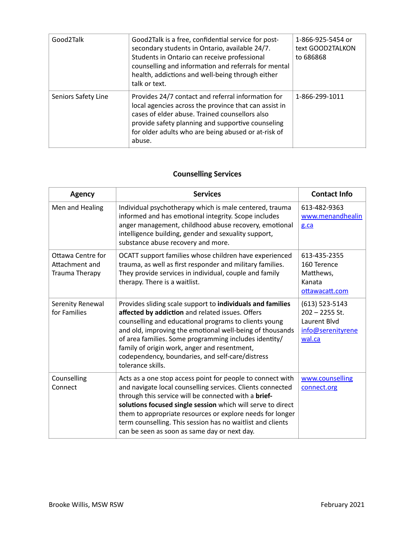| Good2Talk           | Good2Talk is a free, confidential service for post-<br>secondary students in Ontario, available 24/7.<br>Students in Ontario can receive professional<br>counselling and information and referrals for mental<br>health, addictions and well-being through either<br>talk or text.  | 1-866-925-5454 or<br>text GOOD2TALKON<br>to 686868 |
|---------------------|-------------------------------------------------------------------------------------------------------------------------------------------------------------------------------------------------------------------------------------------------------------------------------------|----------------------------------------------------|
| Seniors Safety Line | Provides 24/7 contact and referral information for<br>local agencies across the province that can assist in<br>cases of elder abuse. Trained counsellors also<br>provide safety planning and supportive counseling<br>for older adults who are being abused or at-risk of<br>abuse. | 1-866-299-1011                                     |

# **Counselling Services**

| <b>Agency</b>                                         | <b>Services</b>                                                                                                                                                                                                                                                                                                                                                                                                            | <b>Contact Info</b>                                                                 |
|-------------------------------------------------------|----------------------------------------------------------------------------------------------------------------------------------------------------------------------------------------------------------------------------------------------------------------------------------------------------------------------------------------------------------------------------------------------------------------------------|-------------------------------------------------------------------------------------|
| Men and Healing                                       | Individual psychotherapy which is male centered, trauma<br>informed and has emotional integrity. Scope includes<br>anger management, childhood abuse recovery, emotional<br>intelligence building, gender and sexuality support,<br>substance abuse recovery and more.                                                                                                                                                     | 613-482-9363<br>www.menandhealin<br>g.ca                                            |
| Ottawa Centre for<br>Attachment and<br>Trauma Therapy | OCATT support families whose children have experienced<br>trauma, as well as first responder and military families.<br>They provide services in individual, couple and family<br>therapy. There is a waitlist.                                                                                                                                                                                                             | 613-435-2355<br>160 Terence<br>Matthews,<br>Kanata<br>ottawacatt.com                |
| Serenity Renewal<br>for Families                      | Provides sliding scale support to individuals and families<br>affected by addiction and related issues. Offers<br>counselling and educational programs to clients young<br>and old, improving the emotional well-being of thousands<br>of area families. Some programming includes identity/<br>family of origin work, anger and resentment,<br>codependency, boundaries, and self-care/distress<br>tolerance skills.      | $(613)$ 523-5143<br>$202 - 2255$ St.<br>Laurent Blvd<br>info@serenityrene<br>wal.ca |
| Counselling<br>Connect                                | Acts as a one stop access point for people to connect with<br>and navigate local counselling services. Clients connected<br>through this service will be connected with a brief-<br>solutions focused single session which will serve to direct<br>them to appropriate resources or explore needs for longer<br>term counselling. This session has no waitlist and clients<br>can be seen as soon as same day or next day. | www.counselling<br>connect.org                                                      |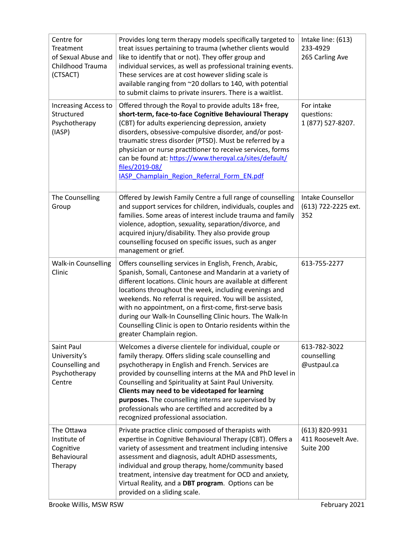| Centre for<br>Treatment<br>of Sexual Abuse and<br>Childhood Trauma<br>(CTSACT) | Provides long term therapy models specifically targeted to<br>treat issues pertaining to trauma (whether clients would<br>like to identify that or not). They offer group and<br>individual services, as well as professional training events.<br>These services are at cost however sliding scale is<br>available ranging from ~20 dollars to 140, with potential<br>to submit claims to private insurers. There is a waitlist.                                                                                          | Intake line: (613)<br>233-4929<br>265 Carling Ave |
|--------------------------------------------------------------------------------|---------------------------------------------------------------------------------------------------------------------------------------------------------------------------------------------------------------------------------------------------------------------------------------------------------------------------------------------------------------------------------------------------------------------------------------------------------------------------------------------------------------------------|---------------------------------------------------|
| Increasing Access to<br>Structured<br>Psychotherapy<br>(IASP)                  | Offered through the Royal to provide adults 18+ free,<br>short-term, face-to-face Cognitive Behavioural Therapy<br>(CBT) for adults experiencing depression, anxiety<br>disorders, obsessive-compulsive disorder, and/or post-<br>traumatic stress disorder (PTSD). Must be referred by a<br>physician or nurse practitioner to receive services, forms<br>can be found at: https://www.theroyal.ca/sites/default/<br>files/2019-08/<br>IASP Champlain Region Referral Form EN.pdf                                        | For intake<br>questions:<br>1 (877) 527-8207.     |
| The Counselling<br>Group                                                       | Offered by Jewish Family Centre a full range of counselling<br>and support services for children, individuals, couples and<br>families. Some areas of interest include trauma and family<br>violence, adoption, sexuality, separation/divorce, and<br>acquired injury/disability. They also provide group<br>counselling focused on specific issues, such as anger<br>management or grief.                                                                                                                                | Intake Counsellor<br>(613) 722-2225 ext.<br>352   |
| <b>Walk-in Counselling</b><br>Clinic                                           | Offers counselling services in English, French, Arabic,<br>Spanish, Somali, Cantonese and Mandarin at a variety of<br>different locations. Clinic hours are available at different<br>locations throughout the week, including evenings and<br>weekends. No referral is required. You will be assisted,<br>with no appointment, on a first-come, first-serve basis<br>during our Walk-In Counselling Clinic hours. The Walk-In<br>Counselling Clinic is open to Ontario residents within the<br>greater Champlain region. | 613-755-2277                                      |
| Saint Paul<br>University's<br>Counselling and<br>Psychotherapy<br>Centre       | Welcomes a diverse clientele for individual, couple or<br>family therapy. Offers sliding scale counselling and<br>psychotherapy in English and French. Services are<br>provided by counselling interns at the MA and PhD level in<br>Counselling and Spirituality at Saint Paul University.<br>Clients may need to be videotaped for learning<br>purposes. The counselling interns are supervised by<br>professionals who are certified and accredited by a<br>recognized professional association.                       | 613-782-3022<br>counselling<br>@ustpaul.ca        |
| The Ottawa<br>Institute of<br>Cognitive<br>Behavioural<br>Therapy              | Private practice clinic composed of therapists with<br>expertise in Cognitive Behavioural Therapy (CBT). Offers a<br>variety of assessment and treatment including intensive<br>assessment and diagnosis, adult ADHD assessments,<br>individual and group therapy, home/community based<br>treatment, intensive day treatment for OCD and anxiety,<br>Virtual Reality, and a DBT program. Options can be<br>provided on a sliding scale.                                                                                  | (613) 820-9931<br>411 Roosevelt Ave.<br>Suite 200 |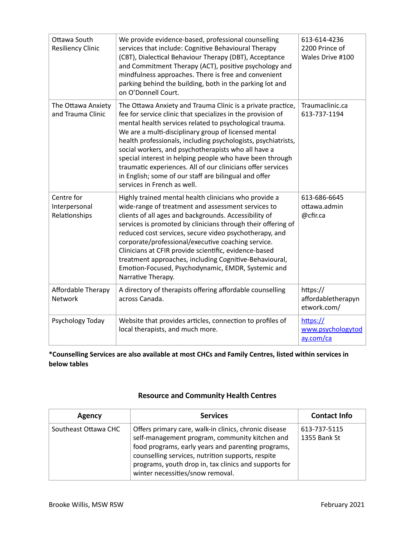| Ottawa South<br><b>Resiliency Clinic</b>     | We provide evidence-based, professional counselling<br>services that include: Cognitive Behavioural Therapy<br>(CBT), Dialectical Behaviour Therapy (DBT), Acceptance<br>and Commitment Therapy (ACT), positive psychology and<br>mindfulness approaches. There is free and convenient<br>parking behind the building, both in the parking lot and<br>on O'Donnell Court.                                                                                                                                                                                                                | 613-614-4236<br>2200 Prince of<br>Wales Drive #100 |
|----------------------------------------------|------------------------------------------------------------------------------------------------------------------------------------------------------------------------------------------------------------------------------------------------------------------------------------------------------------------------------------------------------------------------------------------------------------------------------------------------------------------------------------------------------------------------------------------------------------------------------------------|----------------------------------------------------|
| The Ottawa Anxiety<br>and Trauma Clinic      | The Ottawa Anxiety and Trauma Clinic is a private practice,<br>fee for service clinic that specializes in the provision of<br>mental health services related to psychological trauma.<br>We are a multi-disciplinary group of licensed mental<br>health professionals, including psychologists, psychiatrists,<br>social workers, and psychotherapists who all have a<br>special interest in helping people who have been through<br>traumatic experiences. All of our clinicians offer services<br>in English; some of our staff are bilingual and offer<br>services in French as well. | Traumaclinic.ca<br>613-737-1194                    |
| Centre for<br>Interpersonal<br>Relationships | Highly trained mental health clinicians who provide a<br>wide-range of treatment and assessment services to<br>clients of all ages and backgrounds. Accessibility of<br>services is promoted by clinicians through their offering of<br>reduced cost services, secure video psychotherapy, and<br>corporate/professional/executive coaching service.<br>Clinicians at CFIR provide scientific, evidence-based<br>treatment approaches, including Cognitive-Behavioural,<br>Emotion-Focused, Psychodynamic, EMDR, Systemic and<br>Narrative Therapy.                                      | 613-686-6645<br>ottawa.admin<br>@cfir.ca           |
| Affordable Therapy<br><b>Network</b>         | A directory of therapists offering affordable counselling<br>across Canada.                                                                                                                                                                                                                                                                                                                                                                                                                                                                                                              | https://<br>affordabletherapyn<br>etwork.com/      |
| Psychology Today                             | Website that provides articles, connection to profiles of<br>local therapists, and much more.                                                                                                                                                                                                                                                                                                                                                                                                                                                                                            | https://<br>www.psychologytod<br>ay.com/ca         |

**\*Counselling Services are also available at most CHCs and Family Centres, listed within services in below tables** 

#### **Resource and Community Health Centres**

| Agency               | <b>Services</b>                                                                                                                                                                                                                                                                                                 | <b>Contact Info</b>          |
|----------------------|-----------------------------------------------------------------------------------------------------------------------------------------------------------------------------------------------------------------------------------------------------------------------------------------------------------------|------------------------------|
| Southeast Ottawa CHC | Offers primary care, walk-in clinics, chronic disease<br>self-management program, community kitchen and<br>food programs, early years and parenting programs,<br>counselling services, nutrition supports, respite<br>programs, youth drop in, tax clinics and supports for<br>winter necessities/snow removal. | 613-737-5115<br>1355 Bank St |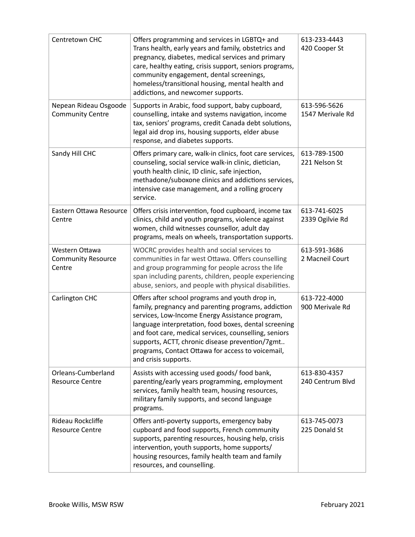| Centretown CHC                                        | Offers programming and services in LGBTQ+ and<br>Trans health, early years and family, obstetrics and<br>pregnancy, diabetes, medical services and primary<br>care, healthy eating, crisis support, seniors programs,<br>community engagement, dental screenings,<br>homeless/transitional housing, mental health and<br>addictions, and newcomer supports.                                                 | 613-233-4443<br>420 Cooper St    |
|-------------------------------------------------------|-------------------------------------------------------------------------------------------------------------------------------------------------------------------------------------------------------------------------------------------------------------------------------------------------------------------------------------------------------------------------------------------------------------|----------------------------------|
| Nepean Rideau Osgoode<br><b>Community Centre</b>      | Supports in Arabic, food support, baby cupboard,<br>counselling, intake and systems navigation, income<br>tax, seniors' programs, credit Canada debt solutions,<br>legal aid drop ins, housing supports, elder abuse<br>response, and diabetes supports.                                                                                                                                                    | 613-596-5626<br>1547 Merivale Rd |
| Sandy Hill CHC                                        | Offers primary care, walk-in clinics, foot care services,<br>counseling, social service walk-in clinic, dietician,<br>youth health clinic, ID clinic, safe injection,<br>methadone/suboxone clinics and addictions services,<br>intensive case management, and a rolling grocery<br>service.                                                                                                                | 613-789-1500<br>221 Nelson St    |
| Eastern Ottawa Resource<br>Centre                     | Offers crisis intervention, food cupboard, income tax<br>clinics, child and youth programs, violence against<br>women, child witnesses counsellor, adult day<br>programs, meals on wheels, transportation supports.                                                                                                                                                                                         | 613-741-6025<br>2339 Ogilvie Rd  |
| Western Ottawa<br><b>Community Resource</b><br>Centre | WOCRC provides health and social services to<br>communities in far west Ottawa. Offers counselling<br>and group programming for people across the life<br>span including parents, children, people experiencing<br>abuse, seniors, and people with physical disabilities.                                                                                                                                   | 613-591-3686<br>2 Macneil Court  |
| Carlington CHC                                        | Offers after school programs and youth drop in,<br>family, pregnancy and parenting programs, addiction<br>services, Low-Income Energy Assistance program,<br>language interpretation, food boxes, dental screening<br>and foot care, medical services, counselling, seniors<br>supports, ACTT, chronic disease prevention/7gmt<br>programs, Contact Ottawa for access to voicemail,<br>and crisis supports. | 613-722-4000<br>900 Merivale Rd  |
| Orleans-Cumberland<br><b>Resource Centre</b>          | Assists with accessing used goods/ food bank,<br>parenting/early years programming, employment<br>services, family health team, housing resources,<br>military family supports, and second language<br>programs.                                                                                                                                                                                            | 613-830-4357<br>240 Centrum Blvd |
| Rideau Rockcliffe<br><b>Resource Centre</b>           | Offers anti-poverty supports, emergency baby<br>cupboard and food supports, French community<br>supports, parenting resources, housing help, crisis<br>intervention, youth supports, home supports/<br>housing resources, family health team and family<br>resources, and counselling.                                                                                                                      | 613-745-0073<br>225 Donald St    |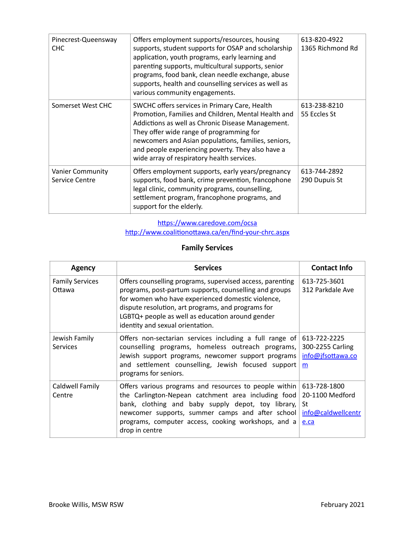| Pinecrest-Queensway<br>CHC                | Offers employment supports/resources, housing<br>supports, student supports for OSAP and scholarship<br>application, youth programs, early learning and<br>parenting supports, multicultural supports, senior<br>programs, food bank, clean needle exchange, abuse<br>supports, health and counselling services as well as<br>various community engagements.    | 613-820-4922<br>1365 Richmond Rd |
|-------------------------------------------|-----------------------------------------------------------------------------------------------------------------------------------------------------------------------------------------------------------------------------------------------------------------------------------------------------------------------------------------------------------------|----------------------------------|
| Somerset West CHC                         | SWCHC offers services in Primary Care, Health<br>Promotion, Families and Children, Mental Health and<br>Addictions as well as Chronic Disease Management.<br>They offer wide range of programming for<br>newcomers and Asian populations, families, seniors,<br>and people experiencing poverty. They also have a<br>wide array of respiratory health services. | 613-238-8210<br>55 Eccles St     |
| <b>Vanier Community</b><br>Service Centre | Offers employment supports, early years/pregnancy<br>supports, food bank, crime prevention, francophone<br>legal clinic, community programs, counselling,<br>settlement program, francophone programs, and<br>support for the elderly.                                                                                                                          | 613-744-2892<br>290 Dupuis St    |

#### https://www.caredove.com/ocsa http://www.coalitionottawa.ca/en/find-your-chrc.aspx

## **Family Services**

| Agency                           | <b>Services</b>                                                                                                                                                                                                                                                                                                        | <b>Contact Info</b>                                                 |
|----------------------------------|------------------------------------------------------------------------------------------------------------------------------------------------------------------------------------------------------------------------------------------------------------------------------------------------------------------------|---------------------------------------------------------------------|
| <b>Family Services</b><br>Ottawa | Offers counselling programs, supervised access, parenting<br>programs, post-partum supports, counselling and groups<br>for women who have experienced domestic violence,<br>dispute resolution, art programs, and programs for<br>LGBTQ+ people as well as education around gender<br>identity and sexual orientation. | 613-725-3601<br>312 Parkdale Ave                                    |
| Jewish Family<br><b>Services</b> | Offers non-sectarian services including a full range of<br>counselling programs, homeless outreach programs,<br>Jewish support programs, newcomer support programs<br>and settlement counselling, Jewish focused support<br>programs for seniors.                                                                      | 613-722-2225<br>300-2255 Carling<br>info@jfsottawa.co<br>m          |
| Caldwell Family<br>Centre        | Offers various programs and resources to people within<br>the Carlington-Nepean catchment area including food<br>bank, clothing and baby supply depot, toy library,<br>newcomer supports, summer camps and after school<br>programs, computer access, cooking workshops, and a<br>drop in centre                       | 613-728-1800<br>20-1100 Medford<br>St<br>info@caldwellcentr<br>e.ca |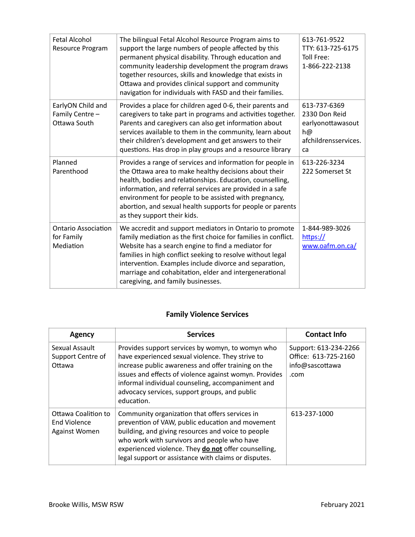| Fetal Alcohol<br><b>Resource Program</b>              | The bilingual Fetal Alcohol Resource Program aims to<br>support the large numbers of people affected by this<br>permanent physical disability. Through education and<br>community leadership development the program draws<br>together resources, skills and knowledge that exists in<br>Ottawa and provides clinical support and community<br>navigation for individuals with FASD and their families. | 613-761-9522<br>TTY: 613-725-6175<br>Toll Free:<br>1-866-222-2138                      |
|-------------------------------------------------------|---------------------------------------------------------------------------------------------------------------------------------------------------------------------------------------------------------------------------------------------------------------------------------------------------------------------------------------------------------------------------------------------------------|----------------------------------------------------------------------------------------|
| EarlyON Child and<br>Family Centre -<br>Ottawa South  | Provides a place for children aged 0-6, their parents and<br>caregivers to take part in programs and activities together.<br>Parents and caregivers can also get information about<br>services available to them in the community, learn about<br>their children's development and get answers to their<br>questions. Has drop in play groups and a resource library                                    | 613-737-6369<br>2330 Don Reid<br>earlyonottawasout<br>h@<br>afchildrensservices.<br>ca |
| Planned<br>Parenthood                                 | Provides a range of services and information for people in<br>the Ottawa area to make healthy decisions about their<br>health, bodies and relationships. Education, counselling,<br>information, and referral services are provided in a safe<br>environment for people to be assisted with pregnancy,<br>abortion, and sexual health supports for people or parents<br>as they support their kids.     | 613-226-3234<br>222 Somerset St                                                        |
| <b>Ontario Association</b><br>for Family<br>Mediation | We accredit and support mediators in Ontario to promote<br>family mediation as the first choice for families in conflict.<br>Website has a search engine to find a mediator for<br>families in high conflict seeking to resolve without legal<br>intervention. Examples include divorce and separation,<br>marriage and cohabitation, elder and intergenerational<br>caregiving, and family businesses. | 1-844-989-3026<br>https://<br>www.oafm.on.ca/                                          |

# **Family Violence Services**

| <b>Agency</b>                                        | <b>Services</b>                                                                                                                                                                                                                                                                                                                           | <b>Contact Info</b>                                                      |
|------------------------------------------------------|-------------------------------------------------------------------------------------------------------------------------------------------------------------------------------------------------------------------------------------------------------------------------------------------------------------------------------------------|--------------------------------------------------------------------------|
| Sexual Assault<br>Support Centre of<br>Ottawa        | Provides support services by womyn, to womyn who<br>have experienced sexual violence. They strive to<br>increase public awareness and offer training on the<br>issues and effects of violence against womyn. Provides<br>informal individual counseling, accompaniment and<br>advocacy services, support groups, and public<br>education. | Support: 613-234-2266<br>Office: 613-725-2160<br>info@sascottawa<br>.com |
| Ottawa Coalition to<br>End Violence<br>Against Women | Community organization that offers services in<br>prevention of VAW, public education and movement<br>building, and giving resources and voice to people<br>who work with survivors and people who have<br>experienced violence. They do not offer counselling,<br>legal support or assistance with claims or disputes.                   | 613-237-1000                                                             |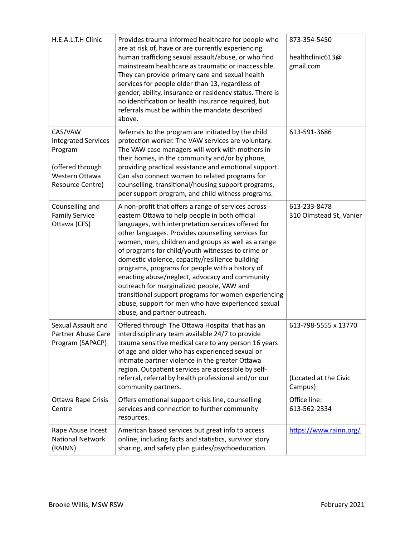| H.E.A.L.T.H Clinic                                                                                         | Provides trauma informed healthcare for people who<br>are at risk of, have or are currently experiencing<br>human trafficking sexual assault/abuse, or who find<br>mainstream healthcare as traumatic or inaccessible.<br>They can provide primary care and sexual health<br>services for people older than 13, regardless of<br>gender, ability, insurance or residency status. There is<br>no identification or health insurance required, but<br>referrals must be within the mandate described<br>above.                                                                                                                                                                     | 873-354-5450<br>healthclinic613@<br>gmail.com            |
|------------------------------------------------------------------------------------------------------------|----------------------------------------------------------------------------------------------------------------------------------------------------------------------------------------------------------------------------------------------------------------------------------------------------------------------------------------------------------------------------------------------------------------------------------------------------------------------------------------------------------------------------------------------------------------------------------------------------------------------------------------------------------------------------------|----------------------------------------------------------|
| CAS/VAW<br><b>Integrated Services</b><br>Program<br>(offered through<br>Western Ottawa<br>Resource Centre) | Referrals to the program are initiated by the child<br>protection worker. The VAW services are voluntary.<br>The VAW case managers will work with mothers in<br>their homes, in the community and/or by phone,<br>providing practical assistance and emotional support.<br>Can also connect women to related programs for<br>counselling, transitional/housing support programs,<br>peer support program, and child witness programs.                                                                                                                                                                                                                                            | 613-591-3686                                             |
| Counselling and<br><b>Family Service</b><br>Ottawa (CFS)                                                   | A non-profit that offers a range of services across<br>eastern Ottawa to help people in both official<br>languages, with interpretation services offered for<br>other languages. Provides counselling services for<br>women, men, children and groups as well as a range<br>of programs for child/youth witnesses to crime or<br>domestic violence, capacity/resilience building<br>programs, programs for people with a history of<br>enacting abuse/neglect, advocacy and community<br>outreach for marginalized people, VAW and<br>transitional support programs for women experiencing<br>abuse, support for men who have experienced sexual<br>abuse, and partner outreach. | 613-233-8478<br>310 Olmstead St, Vanier                  |
| Sexual Assault and<br>Partner Abuse Care<br>Program (SAPACP)                                               | Offered through The Ottawa Hospital that has an<br>interdisciplinary team available 24/7 to provide<br>trauma sensitive medical care to any person 16 years<br>of age and older who has experienced sexual or<br>intimate partner violence in the greater Ottawa<br>region. Outpatient services are accessible by self-<br>referral, referral by health professional and/or our<br>community partners.                                                                                                                                                                                                                                                                           | 613-798-5555 x 13770<br>(Located at the Civic<br>Campus) |
| Ottawa Rape Crisis<br>Centre                                                                               | Offers emotional support crisis line, counselling<br>services and connection to further community<br>resources.                                                                                                                                                                                                                                                                                                                                                                                                                                                                                                                                                                  | Office line:<br>613-562-2334                             |
| Rape Abuse Incest<br>National Network<br>(RAINN)                                                           | American based services but great info to access<br>online, including facts and statistics, survivor story<br>sharing, and safety plan guides/psychoeducation.                                                                                                                                                                                                                                                                                                                                                                                                                                                                                                                   | https://www.rainn.org/                                   |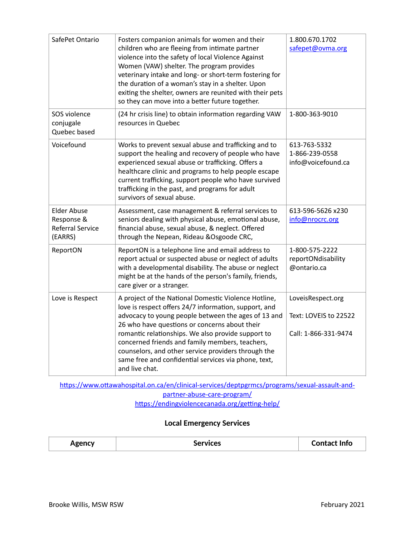| SafePet Ontario                                                        | Fosters companion animals for women and their<br>children who are fleeing from intimate partner<br>violence into the safety of local Violence Against<br>Women (VAW) shelter. The program provides<br>veterinary intake and long- or short-term fostering for<br>the duration of a woman's stay in a shelter. Upon<br>exiting the shelter, owners are reunited with their pets<br>so they can move into a better future together.                               | 1.800.670.1702<br>safepet@ovma.org                                 |
|------------------------------------------------------------------------|-----------------------------------------------------------------------------------------------------------------------------------------------------------------------------------------------------------------------------------------------------------------------------------------------------------------------------------------------------------------------------------------------------------------------------------------------------------------|--------------------------------------------------------------------|
| SOS violence<br>conjugale<br>Quebec based                              | (24 hr crisis line) to obtain information regarding VAW<br>resources in Quebec                                                                                                                                                                                                                                                                                                                                                                                  | 1-800-363-9010                                                     |
| Voicefound                                                             | Works to prevent sexual abuse and trafficking and to<br>support the healing and recovery of people who have<br>experienced sexual abuse or trafficking. Offers a<br>healthcare clinic and programs to help people escape<br>current trafficking, support people who have survived<br>trafficking in the past, and programs for adult<br>survivors of sexual abuse.                                                                                              | 613-763-5332<br>1-866-239-0558<br>info@voicefound.ca               |
| <b>Elder Abuse</b><br>Response &<br><b>Referral Service</b><br>(EARRS) | Assessment, case management & referral services to<br>seniors dealing with physical abuse, emotional abuse,<br>financial abuse, sexual abuse, & neglect. Offered<br>through the Nepean, Rideau & Osgoode CRC,                                                                                                                                                                                                                                                   | 613-596-5626 x230<br>info@nrocrc.org                               |
| ReportON                                                               | ReportON is a telephone line and email address to<br>report actual or suspected abuse or neglect of adults<br>with a developmental disability. The abuse or neglect<br>might be at the hands of the person's family, friends,<br>care giver or a stranger.                                                                                                                                                                                                      | 1-800-575-2222<br>reportONdisability<br>@ontario.ca                |
| Love is Respect                                                        | A project of the National Domestic Violence Hotline,<br>love is respect offers 24/7 information, support, and<br>advocacy to young people between the ages of 13 and<br>26 who have questions or concerns about their<br>romantic relationships. We also provide support to<br>concerned friends and family members, teachers,<br>counselors, and other service providers through the<br>same free and confidential services via phone, text,<br>and live chat. | LoveisRespect.org<br>Text: LOVEIS to 22522<br>Call: 1-866-331-9474 |

https://www.ottawahospital.on.ca/en/clinical-services/deptpgrmcs/programs/sexual-assault-and[partner-abuse-care-program/](https://www.ottawahospital.on.ca/en/clinical-services/deptpgrmcs/programs/sexual-assault-and-partner-abuse-care-program/)

https://endingviolencecanada.org/getting-help/

## **Local Emergency Services**

| Agencv | <b>Services</b> | <b>Contact Info</b> |
|--------|-----------------|---------------------|
|--------|-----------------|---------------------|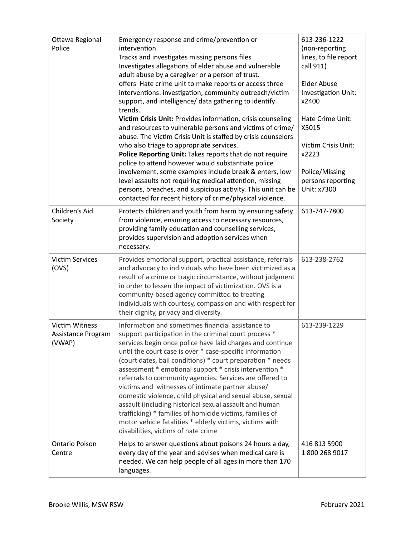| Ottawa Regional<br>Police                      | Emergency response and crime/prevention or<br>intervention.<br>Tracks and investigates missing persons files<br>Investigates allegations of elder abuse and vulnerable<br>adult abuse by a caregiver or a person of trust.<br>offers Hate crime unit to make reports or access three<br>interventions: investigation, community outreach/victim<br>support, and intelligence/ data gathering to identify<br>trends.<br>Victim Crisis Unit: Provides information, crisis counseling<br>and resources to vulnerable persons and victims of crime/<br>abuse. The Victim Crisis Unit is staffed by crisis counselors<br>who also triage to appropriate services.<br>Police Reporting Unit: Takes reports that do not require<br>police to attend however would substantiate police<br>involvement, some examples include break & enters, low<br>level assaults not requiring medical attention, missing<br>persons, breaches, and suspicious activity. This unit can be<br>contacted for recent history of crime/physical violence. | 613-236-1222<br>(non-reporting<br>lines, to file report<br>call 911)<br><b>Elder Abuse</b><br>Investigation Unit:<br>x2400<br>Hate Crime Unit:<br>X5015<br>Victim Crisis Unit:<br>x2223<br>Police/Missing<br>persons reporting<br>Unit: x7300 |
|------------------------------------------------|---------------------------------------------------------------------------------------------------------------------------------------------------------------------------------------------------------------------------------------------------------------------------------------------------------------------------------------------------------------------------------------------------------------------------------------------------------------------------------------------------------------------------------------------------------------------------------------------------------------------------------------------------------------------------------------------------------------------------------------------------------------------------------------------------------------------------------------------------------------------------------------------------------------------------------------------------------------------------------------------------------------------------------|-----------------------------------------------------------------------------------------------------------------------------------------------------------------------------------------------------------------------------------------------|
| Children's Aid<br>Society                      | Protects children and youth from harm by ensuring safety<br>from violence, ensuring access to necessary resources,<br>providing family education and counselling services,<br>provides supervision and adoption services when<br>necessary.                                                                                                                                                                                                                                                                                                                                                                                                                                                                                                                                                                                                                                                                                                                                                                                     | 613-747-7800                                                                                                                                                                                                                                  |
| <b>Victim Services</b><br>(OVS)                | Provides emotional support, practical assistance, referrals<br>and advocacy to individuals who have been victimized as a<br>result of a crime or tragic circumstance, without judgment<br>in order to lessen the impact of victimization. OVS is a<br>community-based agency committed to treating<br>individuals with courtesy, compassion and with respect for<br>their dignity, privacy and diversity.                                                                                                                                                                                                                                                                                                                                                                                                                                                                                                                                                                                                                       | 613-238-2762                                                                                                                                                                                                                                  |
| Victim Witness<br>Assistance Program<br>(VWAP) | Information and sometimes financial assistance to<br>support participation in the criminal court process *<br>services begin once police have laid charges and continue<br>until the court case is over * case-specific information<br>(court dates, bail conditions) * court preparation * needs<br>assessment * emotional support * crisis intervention *<br>referrals to community agencies. Services are offered to<br>victims and witnesses of intimate partner abuse/<br>domestic violence, child physical and sexual abuse, sexual<br>assault (including historical sexual assault and human<br>trafficking) * families of homicide victims, families of<br>motor vehicle fatalities * elderly victims, victims with<br>disabilities, victims of hate crime                                                                                                                                                                                                                                                              | 613-239-1229                                                                                                                                                                                                                                  |
| <b>Ontario Poison</b><br>Centre                | Helps to answer questions about poisons 24 hours a day,<br>every day of the year and advises when medical care is<br>needed. We can help people of all ages in more than 170<br>languages.                                                                                                                                                                                                                                                                                                                                                                                                                                                                                                                                                                                                                                                                                                                                                                                                                                      | 416 813 5900<br>1800 268 9017                                                                                                                                                                                                                 |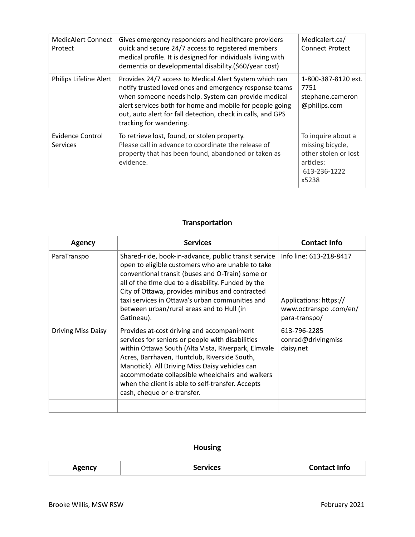| <b>MedicAlert Connect</b><br>Protect | Gives emergency responders and healthcare providers<br>quick and secure 24/7 access to registered members<br>medical profile. It is designed for individuals living with<br>dementia or developmental disability.(\$60/year cost)                                                                                             | Medicalert.ca/<br><b>Connect Protect</b>                                                             |
|--------------------------------------|-------------------------------------------------------------------------------------------------------------------------------------------------------------------------------------------------------------------------------------------------------------------------------------------------------------------------------|------------------------------------------------------------------------------------------------------|
| Philips Lifeline Alert               | Provides 24/7 access to Medical Alert System which can<br>notify trusted loved ones and emergency response teams<br>when someone needs help. System can provide medical<br>alert services both for home and mobile for people going<br>out, auto alert for fall detection, check in calls, and GPS<br>tracking for wandering. | 1-800-387-8120 ext.<br>7751<br>stephane.cameron<br>@philips.com                                      |
| Evidence Control<br><b>Services</b>  | To retrieve lost, found, or stolen property.<br>Please call in advance to coordinate the release of<br>property that has been found, abandoned or taken as<br>evidence.                                                                                                                                                       | To inquire about a<br>missing bicycle,<br>other stolen or lost<br>articles:<br>613-236-1222<br>x5238 |

# **Transportation**

| Agency                    | <b>Services</b>                                                                                                                                                                                                                                                                                                                                                                                | <b>Contact Info</b>                                                                         |
|---------------------------|------------------------------------------------------------------------------------------------------------------------------------------------------------------------------------------------------------------------------------------------------------------------------------------------------------------------------------------------------------------------------------------------|---------------------------------------------------------------------------------------------|
| ParaTranspo               | Shared-ride, book-in-advance, public transit service<br>open to eligible customers who are unable to take<br>conventional transit (buses and O-Train) some or<br>all of the time due to a disability. Funded by the<br>City of Ottawa, provides minibus and contracted<br>taxi services in Ottawa's urban communities and<br>between urban/rural areas and to Hull (in<br>Gatineau).           | Info line: 613-218-8417<br>Applications: https://<br>www.octranspo.com/en/<br>para-transpo/ |
| <b>Driving Miss Daisy</b> | Provides at-cost driving and accompaniment<br>services for seniors or people with disabilities<br>within Ottawa South (Alta Vista, Riverpark, Elmvale<br>Acres, Barrhaven, Huntclub, Riverside South,<br>Manotick). All Driving Miss Daisy vehicles can<br>accommodate collapsible wheelchairs and walkers<br>when the client is able to self-transfer. Accepts<br>cash, cheque or e-transfer. | 613-796-2285<br>conrad@drivingmiss<br>daisy.net                                             |
|                           |                                                                                                                                                                                                                                                                                                                                                                                                |                                                                                             |

# **Housing**

| Agency | <b>Services</b> | <b>Contact Info</b> |
|--------|-----------------|---------------------|
|--------|-----------------|---------------------|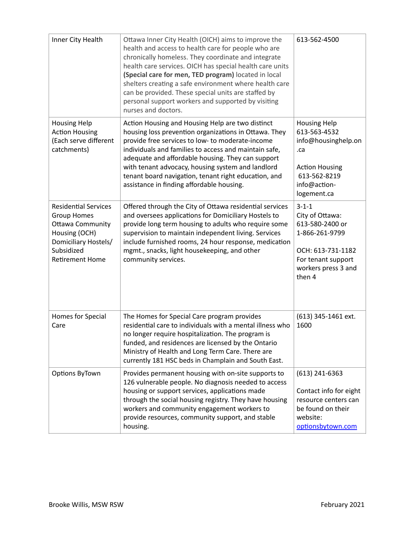| Inner City Health                                                                                                                                             | Ottawa Inner City Health (OICH) aims to improve the<br>health and access to health care for people who are<br>chronically homeless. They coordinate and integrate<br>health care services. OICH has special health care units<br>(Special care for men, TED program) located in local<br>shelters creating a safe environment where health care<br>can be provided. These special units are staffed by<br>personal support workers and supported by visiting<br>nurses and doctors. | 613-562-4500                                                                                                                                    |
|---------------------------------------------------------------------------------------------------------------------------------------------------------------|-------------------------------------------------------------------------------------------------------------------------------------------------------------------------------------------------------------------------------------------------------------------------------------------------------------------------------------------------------------------------------------------------------------------------------------------------------------------------------------|-------------------------------------------------------------------------------------------------------------------------------------------------|
| <b>Housing Help</b><br><b>Action Housing</b><br>(Each serve different<br>catchments)                                                                          | Action Housing and Housing Help are two distinct<br>housing loss prevention organizations in Ottawa. They<br>provide free services to low- to moderate-income<br>individuals and families to access and maintain safe,<br>adequate and affordable housing. They can support<br>with tenant advocacy, housing system and landlord<br>tenant board navigation, tenant right education, and<br>assistance in finding affordable housing.                                               | <b>Housing Help</b><br>613-563-4532<br>info@housinghelp.on<br>.ca<br><b>Action Housing</b><br>613-562-8219<br>info@action-<br>logement.ca       |
| <b>Residential Services</b><br><b>Group Homes</b><br><b>Ottawa Community</b><br>Housing (OCH)<br>Domiciliary Hostels/<br>Subsidized<br><b>Retirement Home</b> | Offered through the City of Ottawa residential services<br>and oversees applications for Domiciliary Hostels to<br>provide long term housing to adults who require some<br>supervision to maintain independent living. Services<br>include furnished rooms, 24 hour response, medication<br>mgmt., snacks, light housekeeping, and other<br>community services.                                                                                                                     | $3 - 1 - 1$<br>City of Ottawa:<br>613-580-2400 or<br>1-866-261-9799<br>OCH: 613-731-1182<br>For tenant support<br>workers press 3 and<br>then 4 |
| Homes for Special<br>Care                                                                                                                                     | The Homes for Special Care program provides<br>residential care to individuals with a mental illness who<br>no longer require hospitalization. The program is<br>funded, and residences are licensed by the Ontario<br>Ministry of Health and Long Term Care. There are<br>currently 181 HSC beds in Champlain and South East.                                                                                                                                                      | (613) 345-1461 ext.<br>1600                                                                                                                     |
| Options ByTown                                                                                                                                                | Provides permanent housing with on-site supports to<br>126 vulnerable people. No diagnosis needed to access<br>housing or support services, applications made<br>through the social housing registry. They have housing<br>workers and community engagement workers to<br>provide resources, community support, and stable<br>housing.                                                                                                                                              | $(613)$ 241-6363<br>Contact info for eight<br>resource centers can<br>be found on their<br>website:<br>optionsbytown.com                        |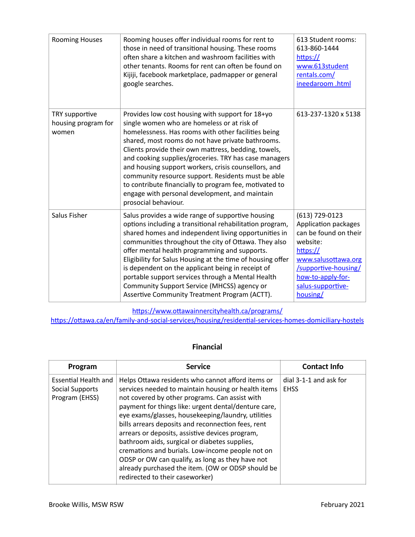| <b>Rooming Houses</b>                          | Rooming houses offer individual rooms for rent to<br>those in need of transitional housing. These rooms<br>often share a kitchen and washroom facilities with<br>other tenants. Rooms for rent can often be found on<br>Kijiji, facebook marketplace, padmapper or general<br>google searches.                                                                                                                                                                                                                                                                                 | 613 Student rooms:<br>613-860-1444<br>https://<br>www.613student<br>rentals.com/<br>ineedaroom .html                                                                                         |
|------------------------------------------------|--------------------------------------------------------------------------------------------------------------------------------------------------------------------------------------------------------------------------------------------------------------------------------------------------------------------------------------------------------------------------------------------------------------------------------------------------------------------------------------------------------------------------------------------------------------------------------|----------------------------------------------------------------------------------------------------------------------------------------------------------------------------------------------|
| TRY supportive<br>housing program for<br>women | Provides low cost housing with support for 18+yo<br>single women who are homeless or at risk of<br>homelessness. Has rooms with other facilities being<br>shared, most rooms do not have private bathrooms.<br>Clients provide their own mattress, bedding, towels,<br>and cooking supplies/groceries. TRY has case managers<br>and housing support workers, crisis counsellors, and<br>community resource support. Residents must be able<br>to contribute financially to program fee, motivated to<br>engage with personal development, and maintain<br>prosocial behaviour. | 613-237-1320 x 5138                                                                                                                                                                          |
| Salus Fisher                                   | Salus provides a wide range of supportive housing<br>options including a transitional rehabilitation program,<br>shared homes and independent living opportunities in<br>communities throughout the city of Ottawa. They also<br>offer mental health programming and supports.<br>Eligibility for Salus Housing at the time of housing offer<br>is dependent on the applicant being in receipt of<br>portable support services through a Mental Health<br>Community Support Service (MHCSS) agency or<br>Assertive Community Treatment Program (ACTT).                         | (613) 729-0123<br>Application packages<br>can be found on their<br>website:<br>https://<br>www.salusottawa.org<br>/supportive-housing/<br>how-to-apply-for-<br>salus-supportive-<br>housing/ |

https://www.ottawainnercityhealth.ca/programs/

https://ottawa.ca/en/family-and-social-services/housing/residential-services-homes-domiciliary-hostels

## **Financial**

| Program                                                          | <b>Service</b>                                                                                                                                                                                                                                                                                                                                                                                                                                                                                                                                                                                                                     | <b>Contact Info</b>                   |
|------------------------------------------------------------------|------------------------------------------------------------------------------------------------------------------------------------------------------------------------------------------------------------------------------------------------------------------------------------------------------------------------------------------------------------------------------------------------------------------------------------------------------------------------------------------------------------------------------------------------------------------------------------------------------------------------------------|---------------------------------------|
| <b>Essential Health and</b><br>Social Supports<br>Program (EHSS) | Helps Ottawa residents who cannot afford items or<br>services needed to maintain housing or health items<br>not covered by other programs. Can assist with<br>payment for things like: urgent dental/denture care,<br>eye exams/glasses, housekeeping/laundry, utilities<br>bills arrears deposits and reconnection fees, rent<br>arrears or deposits, assistive devices program,<br>bathroom aids, surgical or diabetes supplies,<br>cremations and burials. Low-income people not on<br>ODSP or OW can qualify, as long as they have not<br>already purchased the item. (OW or ODSP should be<br>redirected to their caseworker) | dial 3-1-1 and ask for<br><b>EHSS</b> |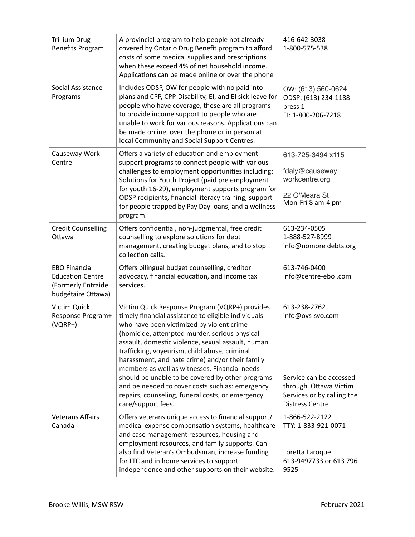| <b>Trillium Drug</b><br><b>Benefits Program</b>                                             | A provincial program to help people not already<br>covered by Ontario Drug Benefit program to afford<br>costs of some medical supplies and prescriptions<br>when these exceed 4% of net household income.<br>Applications can be made online or over the phone                                                                                                                                                                                                                                                                                                                                 | 416-642-3038<br>1-800-575-538                                                                                                                |
|---------------------------------------------------------------------------------------------|------------------------------------------------------------------------------------------------------------------------------------------------------------------------------------------------------------------------------------------------------------------------------------------------------------------------------------------------------------------------------------------------------------------------------------------------------------------------------------------------------------------------------------------------------------------------------------------------|----------------------------------------------------------------------------------------------------------------------------------------------|
| Social Assistance<br>Programs                                                               | Includes ODSP, OW for people with no paid into<br>plans and CPP, CPP-Disability, EI, and EI sick leave for<br>people who have coverage, these are all programs<br>to provide income support to people who are<br>unable to work for various reasons. Applications can<br>be made online, over the phone or in person at<br>local Community and Social Support Centres.                                                                                                                                                                                                                         | OW: (613) 560-0624<br>ODSP: (613) 234-1188<br>press 1<br>EI: 1-800-206-7218                                                                  |
| Causeway Work<br>Centre                                                                     | Offers a variety of education and employment<br>support programs to connect people with various<br>challenges to employment opportunities including:<br>Solutions for Youth Project (paid pre employment<br>for youth 16-29), employment supports program for<br>ODSP recipients, financial literacy training, support<br>for people trapped by Pay Day loans, and a wellness<br>program.                                                                                                                                                                                                      | 613-725-3494 x115<br>fdaly@causeway<br>workcentre.org<br>22 O'Meara St<br>Mon-Fri 8 am-4 pm                                                  |
| <b>Credit Counselling</b><br>Ottawa                                                         | Offers confidential, non-judgmental, free credit<br>counselling to explore solutions for debt<br>management, creating budget plans, and to stop<br>collection calls.                                                                                                                                                                                                                                                                                                                                                                                                                           | 613-234-0505<br>1-888-527-8999<br>info@nomore debts.org                                                                                      |
| <b>EBO Financial</b><br><b>Education Centre</b><br>(Formerly Entraide<br>budgétaire Ottawa) | Offers bilingual budget counselling, creditor<br>advocacy, financial education, and income tax<br>services.                                                                                                                                                                                                                                                                                                                                                                                                                                                                                    | 613-746-0400<br>info@centre-ebo.com                                                                                                          |
| Victim Quick<br>Response Program+<br>$(VQRP+)$                                              | Victim Quick Response Program (VQRP+) provides<br>timely financial assistance to eligible individuals<br>who have been victimized by violent crime<br>(homicide, attempted murder, serious physical<br>assault, domestic violence, sexual assault, human<br>trafficking, voyeurism, child abuse, criminal<br>harassment, and hate crime) and/or their family<br>members as well as witnesses. Financial needs<br>should be unable to be covered by other programs<br>and be needed to cover costs such as: emergency<br>repairs, counseling, funeral costs, or emergency<br>care/support fees. | 613-238-2762<br>info@ovs-svo.com<br>Service can be accessed<br>through Ottawa Victim<br>Services or by calling the<br><b>Distress Centre</b> |
| <b>Veterans Affairs</b><br>Canada                                                           | Offers veterans unique access to financial support/<br>medical expense compensation systems, healthcare<br>and case management resources, housing and<br>employment resources, and family supports. Can<br>also find Veteran's Ombudsman, increase funding<br>for LTC and in home services to support<br>independence and other supports on their website.                                                                                                                                                                                                                                     | 1-866-522-2122<br>TTY: 1-833-921-0071<br>Loretta Laroque<br>613-9497733 or 613 796<br>9525                                                   |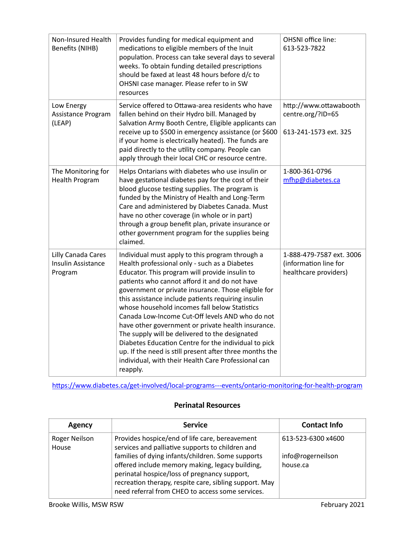| Non-Insured Health<br>Benefits (NIHB)                      | Provides funding for medical equipment and<br>medications to eligible members of the Inuit<br>population. Process can take several days to several<br>weeks. To obtain funding detailed prescriptions<br>should be faxed at least 48 hours before d/c to<br>OHSNI case manager. Please refer to in SW<br>resources                                                                                                                                                                                                                                                                                                                                                                                                 | OHSNI office line:<br>613-523-7822                                         |
|------------------------------------------------------------|--------------------------------------------------------------------------------------------------------------------------------------------------------------------------------------------------------------------------------------------------------------------------------------------------------------------------------------------------------------------------------------------------------------------------------------------------------------------------------------------------------------------------------------------------------------------------------------------------------------------------------------------------------------------------------------------------------------------|----------------------------------------------------------------------------|
| Low Energy<br>Assistance Program<br>(LEAP)                 | Service offered to Ottawa-area residents who have<br>fallen behind on their Hydro bill. Managed by<br>Salvation Army Booth Centre, Eligible applicants can<br>receive up to \$500 in emergency assistance (or \$600<br>if your home is electrically heated). The funds are<br>paid directly to the utility company. People can<br>apply through their local CHC or resource centre.                                                                                                                                                                                                                                                                                                                                | http://www.ottawabooth<br>centre.org/?ID=65<br>613-241-1573 ext. 325       |
| The Monitoring for<br><b>Health Program</b>                | Helps Ontarians with diabetes who use insulin or<br>have gestational diabetes pay for the cost of their<br>blood glucose testing supplies. The program is<br>funded by the Ministry of Health and Long-Term<br>Care and administered by Diabetes Canada. Must<br>have no other coverage (in whole or in part)<br>through a group benefit plan, private insurance or<br>other government program for the supplies being<br>claimed.                                                                                                                                                                                                                                                                                 | 1-800-361-0796<br>mfhp@diabetes.ca                                         |
| Lilly Canada Cares<br><b>Insulin Assistance</b><br>Program | Individual must apply to this program through a<br>Health professional only - such as a Diabetes<br>Educator. This program will provide insulin to<br>patients who cannot afford it and do not have<br>government or private insurance. Those eligible for<br>this assistance include patients requiring insulin<br>whose household incomes fall below Statistics<br>Canada Low-Income Cut-Off levels AND who do not<br>have other government or private health insurance.<br>The supply will be delivered to the designated<br>Diabetes Education Centre for the individual to pick<br>up. If the need is still present after three months the<br>individual, with their Health Care Professional can<br>reapply. | 1-888-479-7587 ext. 3006<br>(information line for<br>healthcare providers) |

https://www.diabetes.ca/get-involved/local-programs---events/ontario-monitoring-for-health-program

#### **Perinatal Resources**

| Agency                 | <b>Service</b>                                                                                                                                                                                                                                                     | <b>Contact Info</b>           |
|------------------------|--------------------------------------------------------------------------------------------------------------------------------------------------------------------------------------------------------------------------------------------------------------------|-------------------------------|
| Roger Neilson<br>House | Provides hospice/end of life care, bereavement<br>services and palliative supports to children and                                                                                                                                                                 | 613-523-6300 x4600            |
|                        | families of dying infants/children. Some supports<br>offered include memory making, legacy building,<br>perinatal hospice/loss of pregnancy support,<br>recreation therapy, respite care, sibling support. May<br>need referral from CHEO to access some services. | info@rogerneilson<br>house.ca |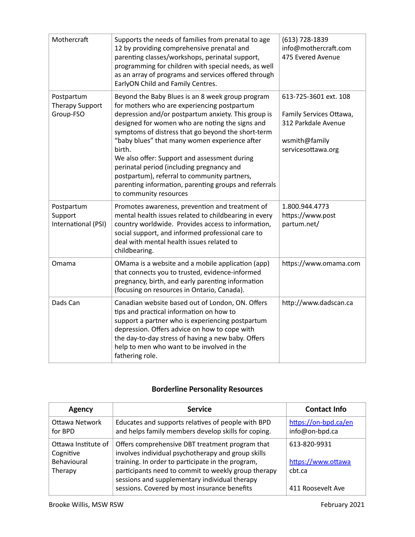| Mothercraft                                       | Supports the needs of families from prenatal to age<br>12 by providing comprehensive prenatal and<br>parenting classes/workshops, perinatal support,<br>programming for children with special needs, as well<br>as an array of programs and services offered through<br>EarlyON Child and Family Centres.                                                                                                                                                                                                                                                  | (613) 728-1839<br>info@mothercraft.com<br>475 Evered Avenue                                                    |
|---------------------------------------------------|------------------------------------------------------------------------------------------------------------------------------------------------------------------------------------------------------------------------------------------------------------------------------------------------------------------------------------------------------------------------------------------------------------------------------------------------------------------------------------------------------------------------------------------------------------|----------------------------------------------------------------------------------------------------------------|
| Postpartum<br><b>Therapy Support</b><br>Group-FSO | Beyond the Baby Blues is an 8 week group program<br>for mothers who are experiencing postpartum<br>depression and/or postpartum anxiety. This group is<br>designed for women who are noting the signs and<br>symptoms of distress that go beyond the short-term<br>"baby blues" that many women experience after<br>birth.<br>We also offer: Support and assessment during<br>perinatal period (including pregnancy and<br>postpartum), referral to community partners,<br>parenting information, parenting groups and referrals<br>to community resources | 613-725-3601 ext. 108<br>Family Services Ottawa,<br>312 Parkdale Avenue<br>wsmith@family<br>servicesottawa.org |
| Postpartum<br>Support<br>International (PSI)      | Promotes awareness, prevention and treatment of<br>mental health issues related to childbearing in every<br>country worldwide. Provides access to information,<br>social support, and informed professional care to<br>deal with mental health issues related to<br>childbearing.                                                                                                                                                                                                                                                                          | 1.800.944.4773<br>https://www.post<br>partum.net/                                                              |
| Omama                                             | OMama is a website and a mobile application (app)<br>that connects you to trusted, evidence-informed<br>pregnancy, birth, and early parenting information<br>(focusing on resources in Ontario, Canada).                                                                                                                                                                                                                                                                                                                                                   | https://www.omama.com                                                                                          |
| Dads Can                                          | Canadian website based out of London, ON. Offers<br>tips and practical information on how to<br>support a partner who is experiencing postpartum<br>depression. Offers advice on how to cope with<br>the day-to-day stress of having a new baby. Offers<br>help to men who want to be involved in the<br>fathering role.                                                                                                                                                                                                                                   | http://www.dadscan.ca                                                                                          |

## **Borderline Personality Resources**

| Agency                                                     | <b>Service</b>                                                                                                                                                                                                                                                                                                     | <b>Contact Info</b>                                               |
|------------------------------------------------------------|--------------------------------------------------------------------------------------------------------------------------------------------------------------------------------------------------------------------------------------------------------------------------------------------------------------------|-------------------------------------------------------------------|
| Ottawa Network<br>for BPD                                  | Educates and supports relatives of people with BPD<br>and helps family members develop skills for coping.                                                                                                                                                                                                          | https://on-bpd.ca/en<br>info@on-bpd.ca                            |
| Ottawa Institute of<br>Cognitive<br>Behavioural<br>Therapy | Offers comprehensive DBT treatment program that<br>involves individual psychotherapy and group skills<br>training. In order to participate in the program,<br>participants need to commit to weekly group therapy<br>sessions and supplementary individual therapy<br>sessions. Covered by most insurance benefits | 613-820-9931<br>https://www.ottawa<br>cht.ca<br>411 Roosevelt Ave |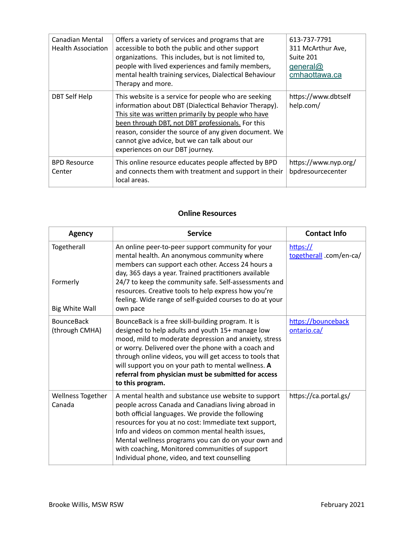| Canadian Mental<br><b>Health Association</b> | Offers a variety of services and programs that are<br>accessible to both the public and other support<br>organizations. This includes, but is not limited to,<br>people with lived experiences and family members,<br>mental health training services, Dialectical Behaviour<br>Therapy and more.                                                                     | 613-737-7791<br>311 McArthur Ave,<br>Suite 201<br>general@<br>cmhaottawa.ca |
|----------------------------------------------|-----------------------------------------------------------------------------------------------------------------------------------------------------------------------------------------------------------------------------------------------------------------------------------------------------------------------------------------------------------------------|-----------------------------------------------------------------------------|
| <b>DBT Self Help</b>                         | This website is a service for people who are seeking<br>information about DBT (Dialectical Behavior Therapy).<br>This site was written primarily by people who have<br>been through DBT, not DBT professionals. For this<br>reason, consider the source of any given document. We<br>cannot give advice, but we can talk about our<br>experiences on our DBT journey. | https://www.dbtself<br>help.com/                                            |
| <b>BPD Resource</b><br>Center                | This online resource educates people affected by BPD<br>and connects them with treatment and support in their<br>local areas.                                                                                                                                                                                                                                         | https://www.nyp.org/<br>bpdresourcecenter                                   |

#### **Online Resources**

| <b>Agency</b>                                    | <b>Service</b>                                                                                                                                                                                                                                                                                                                                                                                                                          | <b>Contact Info</b>                 |
|--------------------------------------------------|-----------------------------------------------------------------------------------------------------------------------------------------------------------------------------------------------------------------------------------------------------------------------------------------------------------------------------------------------------------------------------------------------------------------------------------------|-------------------------------------|
| Togetherall<br>Formerly<br><b>Big White Wall</b> | An online peer-to-peer support community for your<br>mental health. An anonymous community where<br>members can support each other. Access 24 hours a<br>day, 365 days a year. Trained practitioners available<br>24/7 to keep the community safe. Self-assessments and<br>resources. Creative tools to help express how you're<br>feeling. Wide range of self-guided courses to do at your<br>own pace                                 | https://<br>togetherall .com/en-ca/ |
| <b>BounceBack</b><br>(through CMHA)              | BounceBack is a free skill-building program. It is<br>designed to help adults and youth 15+ manage low<br>mood, mild to moderate depression and anxiety, stress<br>or worry. Delivered over the phone with a coach and<br>through online videos, you will get access to tools that<br>will support you on your path to mental wellness. A<br>referral from physician must be submitted for access<br>to this program.                   | https://bounceback<br>ontario.ca/   |
| Wellness Together<br>Canada                      | A mental health and substance use website to support<br>people across Canada and Canadians living abroad in<br>both official languages. We provide the following<br>resources for you at no cost: Immediate text support,<br>Info and videos on common mental health issues,<br>Mental wellness programs you can do on your own and<br>with coaching, Monitored communities of support<br>Individual phone, video, and text counselling | https://ca.portal.gs/               |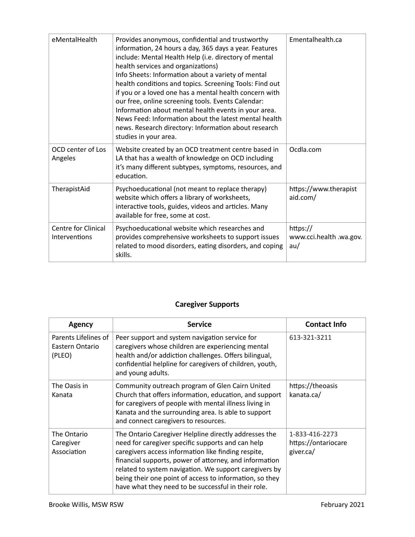| eMentalHealth                               | Provides anonymous, confidential and trustworthy<br>information, 24 hours a day, 365 days a year. Features<br>include: Mental Health Help (i.e. directory of mental<br>health services and organizations)<br>Info Sheets: Information about a variety of mental<br>health conditions and topics. Screening Tools: Find out<br>if you or a loved one has a mental health concern with<br>our free, online screening tools. Events Calendar:<br>Information about mental health events in your area.<br>News Feed: Information about the latest mental health<br>news. Research directory: Information about research<br>studies in your area. | Ementalhealth.ca                           |
|---------------------------------------------|----------------------------------------------------------------------------------------------------------------------------------------------------------------------------------------------------------------------------------------------------------------------------------------------------------------------------------------------------------------------------------------------------------------------------------------------------------------------------------------------------------------------------------------------------------------------------------------------------------------------------------------------|--------------------------------------------|
| OCD center of Los<br>Angeles                | Website created by an OCD treatment centre based in<br>LA that has a wealth of knowledge on OCD including<br>it's many different subtypes, symptoms, resources, and<br>education.                                                                                                                                                                                                                                                                                                                                                                                                                                                            | Ocdla.com                                  |
| TherapistAid                                | Psychoeducational (not meant to replace therapy)<br>website which offers a library of worksheets,<br>interactive tools, guides, videos and articles. Many<br>available for free, some at cost.                                                                                                                                                                                                                                                                                                                                                                                                                                               | https://www.therapist<br>aid.com/          |
| <b>Centre for Clinical</b><br>Interventions | Psychoeducational website which researches and<br>provides comprehensive worksheets to support issues<br>related to mood disorders, eating disorders, and coping<br>skills.                                                                                                                                                                                                                                                                                                                                                                                                                                                                  | https://<br>www.cci.health .wa.gov.<br>au/ |

# **Caregiver Supports**

| Agency                                            | <b>Service</b>                                                                                                                                                                                                                                                                                                                                                                                          | <b>Contact Info</b>                                |
|---------------------------------------------------|---------------------------------------------------------------------------------------------------------------------------------------------------------------------------------------------------------------------------------------------------------------------------------------------------------------------------------------------------------------------------------------------------------|----------------------------------------------------|
| Parents Lifelines of<br>Eastern Ontario<br>(PLEO) | Peer support and system navigation service for<br>caregivers whose children are experiencing mental<br>health and/or addiction challenges. Offers bilingual,<br>confidential helpline for caregivers of children, youth,<br>and young adults.                                                                                                                                                           | 613-321-3211                                       |
| The Oasis in<br>Kanata                            | Community outreach program of Glen Cairn United<br>Church that offers information, education, and support<br>for caregivers of people with mental illness living in<br>Kanata and the surrounding area. Is able to support<br>and connect caregivers to resources.                                                                                                                                      | https://theoasis<br>kanata.ca/                     |
| The Ontario<br>Caregiver<br>Association           | The Ontario Caregiver Helpline directly addresses the<br>need for caregiver specific supports and can help<br>caregivers access information like finding respite,<br>financial supports, power of attorney, and information<br>related to system navigation. We support caregivers by<br>being their one point of access to information, so they<br>have what they need to be successful in their role. | 1-833-416-2273<br>https://ontariocare<br>giver.ca/ |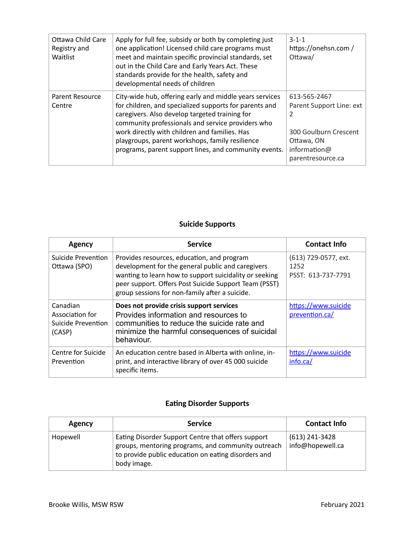| Ottawa Child Care<br>Registry and<br>Waitlist | Apply for full fee, subsidy or both by completing just<br>one application! Licensed child care programs must<br>meet and maintain specific provincial standards, set<br>out in the Child Care and Early Years Act. These<br>standards provide for the health, safety and<br>developmental needs of children                                                                           | $3 - 1 - 1$<br>https://onehsn.com/<br>Ottawa/                                                                                          |
|-----------------------------------------------|---------------------------------------------------------------------------------------------------------------------------------------------------------------------------------------------------------------------------------------------------------------------------------------------------------------------------------------------------------------------------------------|----------------------------------------------------------------------------------------------------------------------------------------|
| Parent Resource<br>Centre                     | City-wide hub, offering early and middle years services<br>for children, and specialized supports for parents and<br>caregivers. Also develop targeted training for<br>community professionals and service providers who<br>work directly with children and families. Has<br>playgroups, parent workshops, family resilience<br>programs, parent support lines, and community events. | 613-565-2467<br>Parent Support Line: ext<br>$\mathfrak{p}$<br>300 Goulburn Crescent<br>Ottawa, ON<br>information@<br>parentresource.ca |

#### **Suicide Supports**

| <b>Agency</b>                                               | <b>Service</b>                                                                                                                                                                                                                                                       | <b>Contact Info</b>                                |
|-------------------------------------------------------------|----------------------------------------------------------------------------------------------------------------------------------------------------------------------------------------------------------------------------------------------------------------------|----------------------------------------------------|
| <b>Suicide Prevention</b><br>Ottawa (SPO)                   | Provides resources, education, and program<br>development for the general public and caregivers<br>wanting to learn how to support suicidality or seeking<br>peer support. Offers Post Suicide Support Team (PSST)<br>group sessions for non-family after a suicide. | (613) 729-0577, ext.<br>1252<br>PSST: 613-737-7791 |
| Canadian<br>Association for<br>Suicide Prevention<br>(CASP) | Does not provide crisis support services<br>Provides information and resources to<br>communities to reduce the suicide rate and<br>minimize the harmful consequences of suicidal<br>behaviour.                                                                       | https://www.suicide<br>prevention.ca/              |
| Centre for Suicide<br>Prevention                            | An education centre based in Alberta with online, in-<br>print, and interactive library of over 45 000 suicide<br>specific items.                                                                                                                                    | https://www.suicide<br>info.ca/                    |

## **Eating Disorder Supports**

| Agency   | <b>Service</b>                                                                                                                                                                 | <b>Contact Info</b>                  |
|----------|--------------------------------------------------------------------------------------------------------------------------------------------------------------------------------|--------------------------------------|
| Hopewell | Eating Disorder Support Centre that offers support<br>groups, mentoring programs, and community outreach<br>to provide public education on eating disorders and<br>body image. | $(613)$ 241-3428<br>info@hopewell.ca |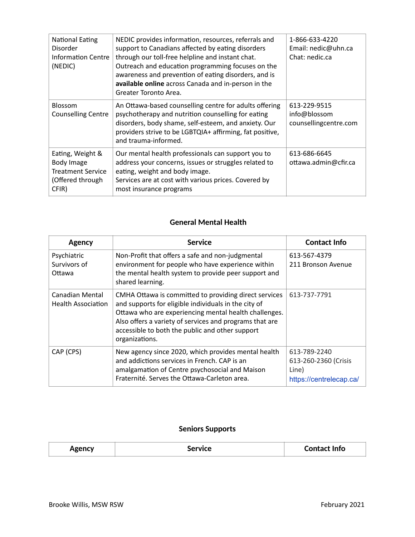| National Eating<br>Disorder<br>Information Centre<br>(NEDIC)                            | NEDIC provides information, resources, referrals and<br>support to Canadians affected by eating disorders<br>through our toll-free helpline and instant chat.<br>Outreach and education programming focuses on the<br>awareness and prevention of eating disorders, and is<br>available online across Canada and in-person in the<br>Greater Toronto Area. | 1-866-633-4220<br>Email: nedic@uhn.ca<br>Chat: nedic.ca |
|-----------------------------------------------------------------------------------------|------------------------------------------------------------------------------------------------------------------------------------------------------------------------------------------------------------------------------------------------------------------------------------------------------------------------------------------------------------|---------------------------------------------------------|
| <b>Blossom</b><br><b>Counselling Centre</b>                                             | An Ottawa-based counselling centre for adults offering<br>psychotherapy and nutrition counselling for eating<br>disorders, body shame, self-esteem, and anxiety. Our<br>providers strive to be LGBTQIA+ affirming, fat positive,<br>and trauma-informed.                                                                                                   | 613-229-9515<br>info@blossom<br>counsellingcentre.com   |
| Eating, Weight &<br>Body Image<br><b>Treatment Service</b><br>(Offered through<br>CFIR) | Our mental health professionals can support you to<br>address your concerns, issues or struggles related to<br>eating, weight and body image.<br>Services are at cost with various prices. Covered by<br>most insurance programs                                                                                                                           | 613-686-6645<br>ottawa.admin@cfir.ca                    |

#### **General Mental Health**

| Agency                                       | <b>Service</b>                                                                                                                                                                                                                                                                                         | <b>Contact Info</b>                                                      |
|----------------------------------------------|--------------------------------------------------------------------------------------------------------------------------------------------------------------------------------------------------------------------------------------------------------------------------------------------------------|--------------------------------------------------------------------------|
| Psychiatric<br>Survivors of<br>Ottawa        | Non-Profit that offers a safe and non-judgmental<br>environment for people who have experience within<br>the mental health system to provide peer support and<br>shared learning.                                                                                                                      | 613-567-4379<br>211 Bronson Avenue                                       |
| Canadian Mental<br><b>Health Association</b> | CMHA Ottawa is committed to providing direct services<br>and supports for eligible individuals in the city of<br>Ottawa who are experiencing mental health challenges.<br>Also offers a variety of services and programs that are<br>accessible to both the public and other support<br>organizations. | 613-737-7791                                                             |
| CAP (CPS)                                    | New agency since 2020, which provides mental health<br>and addictions services in French. CAP is an<br>amalgamation of Centre psychosocial and Maison<br>Fraternité. Serves the Ottawa-Carleton area.                                                                                                  | 613-789-2240<br>613-260-2360 (Crisis<br>Line)<br>https://centrelecap.ca/ |

#### **Seniors Supports**

| <b>CANCV</b> | TVICE. | Contact Info |
|--------------|--------|--------------|
| -8           |        |              |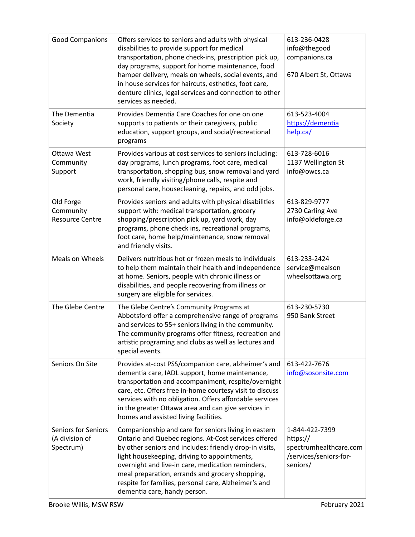| <b>Good Companions</b>                                    | Offers services to seniors and adults with physical<br>disabilities to provide support for medical<br>transportation, phone check-ins, prescription pick up,<br>day programs, support for home maintenance, food<br>hamper delivery, meals on wheels, social events, and<br>in house services for haircuts, esthetics, foot care,<br>denture clinics, legal services and connection to other<br>services as needed.     | 613-236-0428<br>info@thegood<br>companions.ca<br>670 Albert St, Ottawa                     |
|-----------------------------------------------------------|-------------------------------------------------------------------------------------------------------------------------------------------------------------------------------------------------------------------------------------------------------------------------------------------------------------------------------------------------------------------------------------------------------------------------|--------------------------------------------------------------------------------------------|
| The Dementia<br>Society                                   | Provides Dementia Care Coaches for one on one<br>supports to patients or their caregivers, public<br>education, support groups, and social/recreational<br>programs                                                                                                                                                                                                                                                     | 613-523-4004<br>https://dementia<br>help.ca/                                               |
| Ottawa West<br>Community<br>Support                       | Provides various at cost services to seniors including:<br>day programs, lunch programs, foot care, medical<br>transportation, shopping bus, snow removal and yard<br>work, friendly visiting/phone calls, respite and<br>personal care, housecleaning, repairs, and odd jobs.                                                                                                                                          | 613-728-6016<br>1137 Wellington St<br>info@owcs.ca                                         |
| Old Forge<br>Community<br><b>Resource Centre</b>          | Provides seniors and adults with physical disabilities<br>support with: medical transportation, grocery<br>shopping/prescription pick up, yard work, day<br>programs, phone check ins, recreational programs,<br>foot care, home help/maintenance, snow removal<br>and friendly visits.                                                                                                                                 | 613-829-9777<br>2730 Carling Ave<br>info@oldeforge.ca                                      |
| Meals on Wheels                                           | Delivers nutritious hot or frozen meals to individuals<br>to help them maintain their health and independence<br>at home. Seniors, people with chronic illness or<br>disabilities, and people recovering from illness or<br>surgery are eligible for services.                                                                                                                                                          | 613-233-2424<br>service@mealson<br>wheelsottawa.org                                        |
| The Glebe Centre                                          | The Glebe Centre's Community Programs at<br>Abbotsford offer a comprehensive range of programs<br>and services to 55+ seniors living in the community.<br>The community programs offer fitness, recreation and<br>artistic programing and clubs as well as lectures and<br>special events.                                                                                                                              | 613-230-5730<br>950 Bank Street                                                            |
| Seniors On Site                                           | Provides at-cost PSS/companion care, alzheimer's and<br>dementia care, IADL support, home maintenance,<br>transportation and accompaniment, respite/overnight<br>care, etc. Offers free in-home courtesy visit to discuss<br>services with no obligation. Offers affordable services<br>in the greater Ottawa area and can give services in<br>homes and assisted living facilities.                                    | 613-422-7676<br>info@sosonsite.com                                                         |
| <b>Seniors for Seniors</b><br>(A division of<br>Spectrum) | Companionship and care for seniors living in eastern<br>Ontario and Quebec regions. At-Cost services offered<br>by other seniors and includes: friendly drop-in visits,<br>light housekeeping, driving to appointments,<br>overnight and live-in care, medication reminders,<br>meal preparation, errands and grocery shopping,<br>respite for families, personal care, Alzheimer's and<br>dementia care, handy person. | 1-844-422-7399<br>https://<br>spectrumhealthcare.com<br>/services/seniors-for-<br>seniors/ |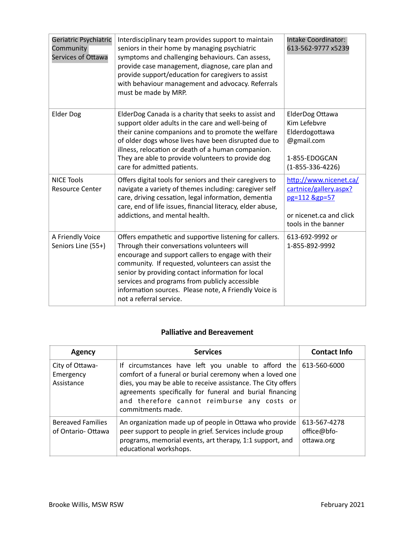| Geriatric Psychiatric<br>Community<br>Services of Ottawa | Interdisciplinary team provides support to maintain<br>seniors in their home by managing psychiatric<br>symptoms and challenging behaviours. Can assess,<br>provide case management, diagnose, care plan and<br>provide support/education for caregivers to assist<br>with behaviour management and advocacy. Referrals<br>must be made by MRP.                                                               | <b>Intake Coordinator:</b><br>613-562-9777 x5239                                                                    |
|----------------------------------------------------------|---------------------------------------------------------------------------------------------------------------------------------------------------------------------------------------------------------------------------------------------------------------------------------------------------------------------------------------------------------------------------------------------------------------|---------------------------------------------------------------------------------------------------------------------|
| <b>Elder Dog</b>                                         | ElderDog Canada is a charity that seeks to assist and<br>support older adults in the care and well-being of<br>their canine companions and to promote the welfare<br>of older dogs whose lives have been disrupted due to<br>illness, relocation or death of a human companion.<br>They are able to provide volunteers to provide dog<br>care for admitted patients.                                          | ElderDog Ottawa<br>Kim Lefebvre<br>Elderdogottawa<br>@gmail.com<br>1-855-EDOGCAN<br>$(1 - 855 - 336 - 4226)$        |
| <b>NICE Tools</b><br><b>Resource Center</b>              | Offers digital tools for seniors and their caregivers to<br>navigate a variety of themes including: caregiver self<br>care, driving cessation, legal information, dementia<br>care, end of life issues, financial literacy, elder abuse,<br>addictions, and mental health.                                                                                                                                    | http://www.nicenet.ca/<br>cartnice/gallery.aspx?<br>pg=112 &gp=57<br>or nicenet.ca and click<br>tools in the banner |
| A Friendly Voice<br>Seniors Line (55+)                   | Offers empathetic and supportive listening for callers.<br>Through their conversations volunteers will<br>encourage and support callers to engage with their<br>community. If requested, volunteers can assist the<br>senior by providing contact information for local<br>services and programs from publicly accessible<br>information sources. Please note, A Friendly Voice is<br>not a referral service. | 613-692-9992 or<br>1-855-892-9992                                                                                   |

# **Palliative and Bereavement**

| <b>Agency</b>                                 | <b>Services</b>                                                                                                                                                                                                                                                                                                                | <b>Contact Info</b>                       |
|-----------------------------------------------|--------------------------------------------------------------------------------------------------------------------------------------------------------------------------------------------------------------------------------------------------------------------------------------------------------------------------------|-------------------------------------------|
| City of Ottawa-<br>Emergency<br>Assistance    | If circumstances have left you unable to afford the $613-560-6000$<br>comfort of a funeral or burial ceremony when a loved one<br>dies, you may be able to receive assistance. The City offers<br>agreements specifically for funeral and burial financing<br>and therefore cannot reimburse any costs or<br>commitments made. |                                           |
| <b>Bereaved Families</b><br>of Ontario-Ottawa | An organization made up of people in Ottawa who provide<br>peer support to people in grief. Services include group<br>programs, memorial events, art therapy, 1:1 support, and<br>educational workshops.                                                                                                                       | 613-567-4278<br>office@bfo-<br>ottawa.org |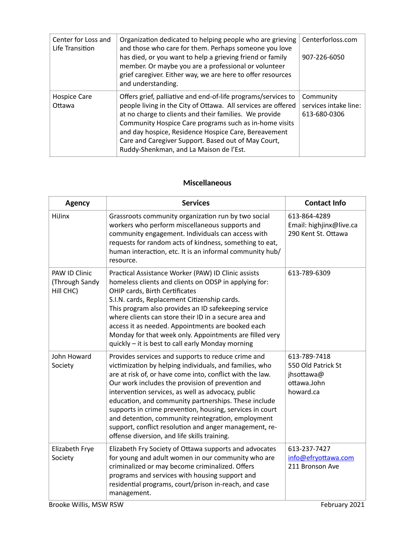| Center for Loss and<br>Life Transition | Organization dedicated to helping people who are grieving<br>and those who care for them. Perhaps someone you love<br>has died, or you want to help a grieving friend or family<br>member. Or maybe you are a professional or volunteer<br>grief caregiver. Either way, we are here to offer resources<br>and understanding.                                                                                 | Centerforloss.com<br>907-226-6050                  |
|----------------------------------------|--------------------------------------------------------------------------------------------------------------------------------------------------------------------------------------------------------------------------------------------------------------------------------------------------------------------------------------------------------------------------------------------------------------|----------------------------------------------------|
| <b>Hospice Care</b><br>Ottawa          | Offers grief, palliative and end-of-life programs/services to<br>people living in the City of Ottawa. All services are offered<br>at no charge to clients and their families. We provide<br>Community Hospice Care programs such as in-home visits<br>and day hospice, Residence Hospice Care, Bereavement<br>Care and Caregiver Support. Based out of May Court,<br>Ruddy-Shenkman, and La Maison de l'Est. | Community<br>services intake line:<br>613-680-0306 |

## **Miscellaneous**

| <b>Agency</b>                                | <b>Services</b>                                                                                                                                                                                                                                                                                                                                                                                                                                                                                                                                                           | <b>Contact Info</b>                                                          |
|----------------------------------------------|---------------------------------------------------------------------------------------------------------------------------------------------------------------------------------------------------------------------------------------------------------------------------------------------------------------------------------------------------------------------------------------------------------------------------------------------------------------------------------------------------------------------------------------------------------------------------|------------------------------------------------------------------------------|
| <b>HiJinx</b>                                | Grassroots community organization run by two social<br>workers who perform miscellaneous supports and<br>community engagement. Individuals can access with<br>requests for random acts of kindness, something to eat,<br>human interaction, etc. It is an informal community hub/<br>resource.                                                                                                                                                                                                                                                                            | 613-864-4289<br>Email: highjinx@live.ca<br>290 Kent St. Ottawa               |
| PAW ID Clinic<br>(Through Sandy<br>Hill CHC) | Practical Assistance Worker (PAW) ID Clinic assists<br>homeless clients and clients on ODSP in applying for:<br>OHIP cards, Birth Certificates<br>S.I.N. cards, Replacement Citizenship cards.<br>This program also provides an ID safekeeping service<br>where clients can store their ID in a secure area and<br>access it as needed. Appointments are booked each<br>Monday for that week only. Appointments are filled very<br>quickly - it is best to call early Monday morning                                                                                      | 613-789-6309                                                                 |
| John Howard<br>Society                       | Provides services and supports to reduce crime and<br>victimization by helping individuals, and families, who<br>are at risk of, or have come into, conflict with the law.<br>Our work includes the provision of prevention and<br>intervention services, as well as advocacy, public<br>education, and community partnerships. These include<br>supports in crime prevention, housing, services in court<br>and detention, community reintegration, employment<br>support, conflict resolution and anger management, re-<br>offense diversion, and life skills training. | 613-789-7418<br>550 Old Patrick St<br>jhsottawa@<br>ottawa.John<br>howard.ca |
| Elizabeth Frye<br>Society                    | Elizabeth Fry Society of Ottawa supports and advocates<br>for young and adult women in our community who are<br>criminalized or may become criminalized. Offers<br>programs and services with housing support and<br>residential programs, court/prison in-reach, and case<br>management.                                                                                                                                                                                                                                                                                 | 613-237-7427<br>info@efryottawa.com<br>211 Bronson Ave                       |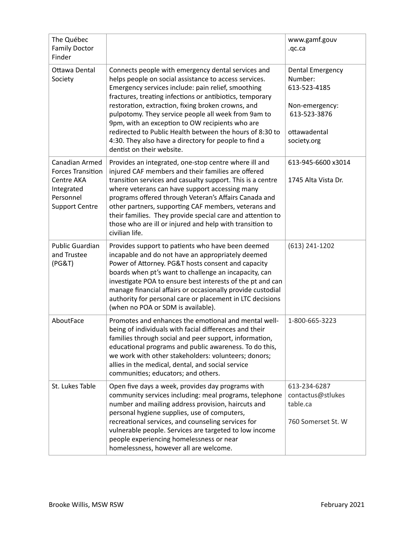| The Québec<br><b>Family Doctor</b><br>Finder                                                                 |                                                                                                                                                                                                                                                                                                                                                                                                                                                                                                                                                 | www.gamf.gouv<br>.qc.ca                                                                                             |
|--------------------------------------------------------------------------------------------------------------|-------------------------------------------------------------------------------------------------------------------------------------------------------------------------------------------------------------------------------------------------------------------------------------------------------------------------------------------------------------------------------------------------------------------------------------------------------------------------------------------------------------------------------------------------|---------------------------------------------------------------------------------------------------------------------|
| Ottawa Dental<br>Society                                                                                     | Connects people with emergency dental services and<br>helps people on social assistance to access services.<br>Emergency services include: pain relief, smoothing<br>fractures, treating infections or antibiotics, temporary<br>restoration, extraction, fixing broken crowns, and<br>pulpotomy. They service people all week from 9am to<br>9pm, with an exception to OW recipients who are<br>redirected to Public Health between the hours of 8:30 to<br>4:30. They also have a directory for people to find a<br>dentist on their website. | <b>Dental Emergency</b><br>Number:<br>613-523-4185<br>Non-emergency:<br>613-523-3876<br>ottawadental<br>society.org |
| Canadian Armed<br><b>Forces Transition</b><br>Centre AKA<br>Integrated<br>Personnel<br><b>Support Centre</b> | Provides an integrated, one-stop centre where ill and<br>injured CAF members and their families are offered<br>transition services and casualty support. This is a centre<br>where veterans can have support accessing many<br>programs offered through Veteran's Affairs Canada and<br>other partners, supporting CAF members, veterans and<br>their families. They provide special care and attention to<br>those who are ill or injured and help with transition to<br>civilian life.                                                        | 613-945-6600 x3014<br>1745 Alta Vista Dr.                                                                           |
| <b>Public Guardian</b><br>and Trustee<br>(PG&T)                                                              | Provides support to patients who have been deemed<br>incapable and do not have an appropriately deemed<br>Power of Attorney. PG&T hosts consent and capacity<br>boards when pt's want to challenge an incapacity, can<br>investigate POA to ensure best interests of the pt and can<br>manage financial affairs or occasionally provide custodial<br>authority for personal care or placement in LTC decisions<br>(when no POA or SDM is available).                                                                                            | $(613)$ 241-1202                                                                                                    |
| AboutFace                                                                                                    | Promotes and enhances the emotional and mental well-<br>being of individuals with facial differences and their<br>families through social and peer support, information,<br>educational programs and public awareness. To do this,<br>we work with other stakeholders: volunteers; donors;<br>allies in the medical, dental, and social service<br>communities; educators; and others.                                                                                                                                                          | 1-800-665-3223                                                                                                      |
| St. Lukes Table                                                                                              | Open five days a week, provides day programs with<br>community services including: meal programs, telephone<br>number and mailing address provision, haircuts and<br>personal hygiene supplies, use of computers,<br>recreational services, and counseling services for<br>vulnerable people. Services are targeted to low income<br>people experiencing homelessness or near<br>homelessness, however all are welcome.                                                                                                                         | 613-234-6287<br>contactus@stlukes<br>table.ca<br>760 Somerset St. W                                                 |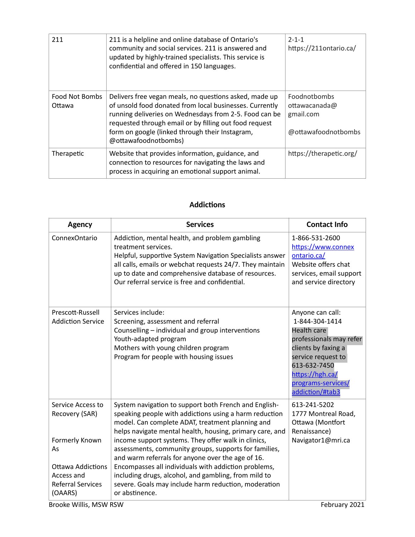| 211                      | 211 is a helpline and online database of Ontario's<br>community and social services. 211 is answered and<br>updated by highly-trained specialists. This service is<br>confidential and offered in 150 languages.                                                                                                 | $2 - 1 - 1$<br>https://211ontario.ca/                             |
|--------------------------|------------------------------------------------------------------------------------------------------------------------------------------------------------------------------------------------------------------------------------------------------------------------------------------------------------------|-------------------------------------------------------------------|
| Food Not Bombs<br>Ottawa | Delivers free vegan meals, no questions asked, made up<br>of unsold food donated from local businesses. Currently<br>running deliveries on Wednesdays from 2-5. Food can be<br>requested through email or by filling out food request<br>form on google (linked through their Instagram,<br>@ottawafoodnotbombs) | Foodnotbombs<br>ottawacanada@<br>gmail.com<br>@ottawafoodnotbombs |
| Therapetic               | Website that provides information, guidance, and<br>connection to resources for navigating the laws and<br>process in acquiring an emotional support animal.                                                                                                                                                     | https://therapetic.org/                                           |

## **Addictions**

| <b>Agency</b>                                                                                                                         | <b>Services</b>                                                                                                                                                                                                                                                                                                                                                                                                                                                                                                                                                                                | <b>Contact Info</b>                                                                                                                                                                                   |
|---------------------------------------------------------------------------------------------------------------------------------------|------------------------------------------------------------------------------------------------------------------------------------------------------------------------------------------------------------------------------------------------------------------------------------------------------------------------------------------------------------------------------------------------------------------------------------------------------------------------------------------------------------------------------------------------------------------------------------------------|-------------------------------------------------------------------------------------------------------------------------------------------------------------------------------------------------------|
| ConnexOntario                                                                                                                         | Addiction, mental health, and problem gambling<br>treatment services.<br>Helpful, supportive System Navigation Specialists answer<br>all calls, emails or webchat requests 24/7. They maintain<br>up to date and comprehensive database of resources.<br>Our referral service is free and confidential.                                                                                                                                                                                                                                                                                        | 1-866-531-2600<br>https://www.connex<br>ontario.ca/<br>Website offers chat<br>services, email support<br>and service directory                                                                        |
| Prescott-Russell<br><b>Addiction Service</b>                                                                                          | Services include:<br>Screening, assessment and referral<br>Counselling - individual and group interventions<br>Youth-adapted program<br>Mothers with young children program<br>Program for people with housing issues                                                                                                                                                                                                                                                                                                                                                                          | Anyone can call:<br>1-844-304-1414<br>Health care<br>professionals may refer<br>clients by faxing a<br>service request to<br>613-632-7450<br>https://hgh.ca/<br>programs-services/<br>addiction/#tab3 |
| Service Access to<br>Recovery (SAR)<br>Formerly Known<br>As<br>Ottawa Addictions<br>Access and<br><b>Referral Services</b><br>(OAARS) | System navigation to support both French and English-<br>speaking people with addictions using a harm reduction<br>model. Can complete ADAT, treatment planning and<br>helps navigate mental health, housing, primary care, and<br>income support systems. They offer walk in clinics,<br>assessments, community groups, supports for families,<br>and warm referrals for anyone over the age of 16.<br>Encompasses all individuals with addiction problems,<br>including drugs, alcohol, and gambling, from mild to<br>severe. Goals may include harm reduction, moderation<br>or abstinence. | 613-241-5202<br>1777 Montreal Road,<br>Ottawa (Montfort<br>Renaissance)<br>Navigator1@mri.ca                                                                                                          |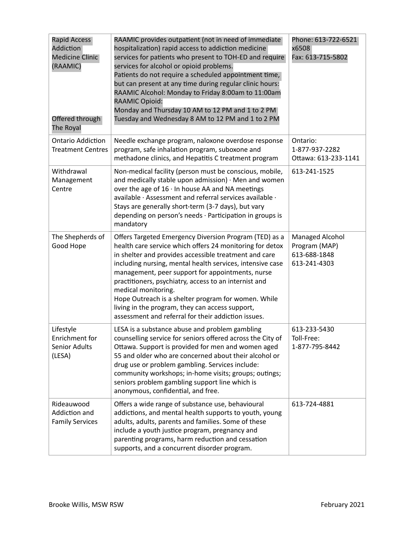| <b>Rapid Access</b><br>Addiction<br><b>Medicine Clinic</b><br>(RAAMIC)<br>Offered through<br>The Royal | RAAMIC provides outpatient (not in need of immediate<br>hospitalization) rapid access to addiction medicine<br>services for patients who present to TOH-ED and require<br>services for alcohol or opioid problems.<br>Patients do not require a scheduled appointment time,<br>but can present at any time during regular clinic hours:<br>RAAMIC Alcohol: Monday to Friday 8:00am to 11:00am<br><b>RAAMIC Opioid:</b><br>Monday and Thursday 10 AM to 12 PM and 1 to 2 PM<br>Tuesday and Wednesday 8 AM to 12 PM and 1 to 2 PM               | Phone: 613-722-6521<br>x6508<br>Fax: 613-715-5802                |
|--------------------------------------------------------------------------------------------------------|-----------------------------------------------------------------------------------------------------------------------------------------------------------------------------------------------------------------------------------------------------------------------------------------------------------------------------------------------------------------------------------------------------------------------------------------------------------------------------------------------------------------------------------------------|------------------------------------------------------------------|
| <b>Ontario Addiction</b><br><b>Treatment Centres</b>                                                   | Needle exchange program, naloxone overdose response<br>program, safe inhalation program, suboxone and<br>methadone clinics, and Hepatitis C treatment program                                                                                                                                                                                                                                                                                                                                                                                 | Ontario:<br>1-877-937-2282<br>Ottawa: 613-233-1141               |
| Withdrawal<br>Management<br>Centre                                                                     | Non-medical facility (person must be conscious, mobile,<br>and medically stable upon admission) $\cdot$ Men and women<br>over the age of $16 \cdot \ln$ house AA and NA meetings<br>available · Assessment and referral services available ·<br>Stays are generally short-term (3-7 days), but vary<br>depending on person's needs · Participation in groups is<br>mandatory                                                                                                                                                                  | 613-241-1525                                                     |
| The Shepherds of<br>Good Hope                                                                          | Offers Targeted Emergency Diversion Program (TED) as a<br>health care service which offers 24 monitoring for detox<br>in shelter and provides accessible treatment and care<br>including nursing, mental health services, intensive case<br>management, peer support for appointments, nurse<br>practitioners, psychiatry, access to an internist and<br>medical monitoring.<br>Hope Outreach is a shelter program for women. While<br>living in the program, they can access support,<br>assessment and referral for their addiction issues. | Managed Alcohol<br>Program (MAP)<br>613-688-1848<br>613-241-4303 |
| Lifestyle<br>Enrichment for<br>Senior Adults<br>(LESA)                                                 | LESA is a substance abuse and problem gambling<br>counselling service for seniors offered across the City of<br>Ottawa. Support is provided for men and women aged<br>55 and older who are concerned about their alcohol or<br>drug use or problem gambling. Services include:<br>community workshops; in-home visits; groups; outings;<br>seniors problem gambling support line which is<br>anonymous, confidential, and free.                                                                                                               | 613-233-5430<br>Toll-Free:<br>1-877-795-8442                     |
| Rideauwood<br>Addiction and<br><b>Family Services</b>                                                  | Offers a wide range of substance use, behavioural<br>addictions, and mental health supports to youth, young<br>adults, adults, parents and families. Some of these<br>include a youth justice program, pregnancy and<br>parenting programs, harm reduction and cessation<br>supports, and a concurrent disorder program.                                                                                                                                                                                                                      | 613-724-4881                                                     |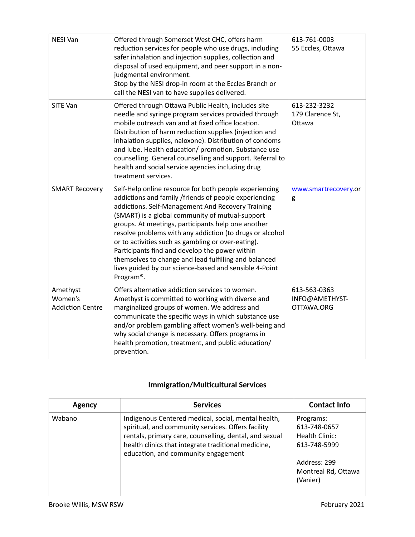| <b>NESI Van</b>                                | Offered through Somerset West CHC, offers harm<br>reduction services for people who use drugs, including<br>safer inhalation and injection supplies, collection and<br>disposal of used equipment, and peer support in a non-<br>judgmental environment.<br>Stop by the NESI drop-in room at the Eccles Branch or<br>call the NESI van to have supplies delivered.                                                                                                                                                                                                                             | 613-761-0003<br>55 Eccles, Ottawa            |
|------------------------------------------------|------------------------------------------------------------------------------------------------------------------------------------------------------------------------------------------------------------------------------------------------------------------------------------------------------------------------------------------------------------------------------------------------------------------------------------------------------------------------------------------------------------------------------------------------------------------------------------------------|----------------------------------------------|
| <b>SITE Van</b>                                | Offered through Ottawa Public Health, includes site<br>needle and syringe program services provided through<br>mobile outreach van and at fixed office location.<br>Distribution of harm reduction supplies (injection and<br>inhalation supplies, naloxone). Distribution of condoms<br>and lube. Health education/ promotion. Substance use<br>counselling. General counselling and support. Referral to<br>health and social service agencies including drug<br>treatment services.                                                                                                         | 613-232-3232<br>179 Clarence St,<br>Ottawa   |
| <b>SMART Recovery</b>                          | Self-Help online resource for both people experiencing<br>addictions and family /friends of people experiencing<br>addictions. Self-Management And Recovery Training<br>(SMART) is a global community of mutual-support<br>groups. At meetings, participants help one another<br>resolve problems with any addiction (to drugs or alcohol<br>or to activities such as gambling or over-eating).<br>Participants find and develop the power within<br>themselves to change and lead fulfilling and balanced<br>lives guided by our science-based and sensible 4-Point<br>Program <sup>®</sup> . | www.smartrecovery.or<br>g                    |
| Amethyst<br>Women's<br><b>Addiction Centre</b> | Offers alternative addiction services to women.<br>Amethyst is committed to working with diverse and<br>marginalized groups of women. We address and<br>communicate the specific ways in which substance use<br>and/or problem gambling affect women's well-being and<br>why social change is necessary. Offers programs in<br>health promotion, treatment, and public education/<br>prevention.                                                                                                                                                                                               | 613-563-0363<br>INFO@AMETHYST-<br>OTTAWA.ORG |

## **Immigration/Multicultural Services**

| Agency | <b>Services</b>                                                                                                                                                                                                                                                   | <b>Contact Info</b>                                                                                            |
|--------|-------------------------------------------------------------------------------------------------------------------------------------------------------------------------------------------------------------------------------------------------------------------|----------------------------------------------------------------------------------------------------------------|
| Wabano | Indigenous Centered medical, social, mental health,<br>spiritual, and community services. Offers facility<br>rentals, primary care, counselling, dental, and sexual<br>health clinics that integrate traditional medicine,<br>education, and community engagement | Programs:<br>613-748-0657<br>Health Clinic:<br>613-748-5999<br>Address: 299<br>Montreal Rd, Ottawa<br>(Vanier) |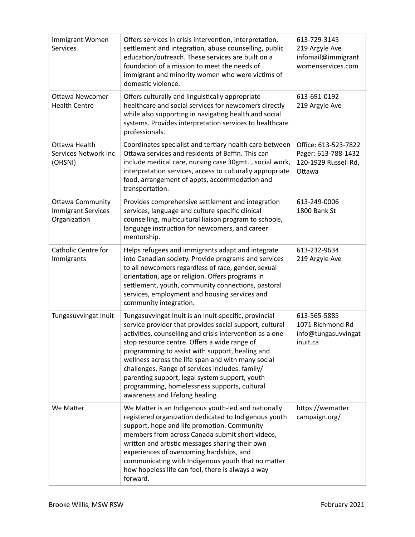| Immigrant Women<br><b>Services</b>                                   | Offers services in crisis intervention, interpretation,<br>settlement and integration, abuse counselling, public<br>education/outreach. These services are built on a<br>foundation of a mission to meet the needs of<br>immigrant and minority women who were victims of<br>domestic violence.                                                                                                                                                                                                                                | 613-729-3145<br>219 Argyle Ave<br>infomail@immigrant<br>womenservices.com     |
|----------------------------------------------------------------------|--------------------------------------------------------------------------------------------------------------------------------------------------------------------------------------------------------------------------------------------------------------------------------------------------------------------------------------------------------------------------------------------------------------------------------------------------------------------------------------------------------------------------------|-------------------------------------------------------------------------------|
| <b>Ottawa Newcomer</b><br><b>Health Centre</b>                       | Offers culturally and linguistically appropriate<br>healthcare and social services for newcomers directly<br>while also supporting in navigating health and social<br>systems. Provides interpretation services to healthcare<br>professionals.                                                                                                                                                                                                                                                                                | 613-691-0192<br>219 Argyle Ave                                                |
| Ottawa Health<br>Services Network Inc<br>(OHSNI)                     | Coordinates specialist and tertiary health care between<br>Ottawa services and residents of Baffin. This can<br>include medical care, nursing case 30gmt, social work,<br>interpretation services, access to culturally appropriate<br>food, arrangement of appts, accommodation and<br>transportation.                                                                                                                                                                                                                        | Office: 613-523-7822<br>Pager: 613-788-1432<br>120-1929 Russell Rd,<br>Ottawa |
| <b>Ottawa Community</b><br><b>Immigrant Services</b><br>Organization | Provides comprehensive settlement and integration<br>services, language and culture specific clinical<br>counselling, multicultural liaison program to schools,<br>language instruction for newcomers, and career<br>mentorship.                                                                                                                                                                                                                                                                                               | 613-249-0006<br>1800 Bank St                                                  |
| Catholic Centre for<br>Immigrants                                    | Helps refugees and immigrants adapt and integrate<br>into Canadian society. Provide programs and services<br>to all newcomers regardless of race, gender, sexual<br>orientation, age or religion. Offers programs in<br>settlement, youth, community connections, pastoral<br>services, employment and housing services and<br>community integration.                                                                                                                                                                          | 613-232-9634<br>219 Argyle Ave                                                |
| Tungasuvvingat Inuit                                                 | Tungasuvvingat Inuit is an Inuit-specific, provincial<br>service provider that provides social support, cultural<br>activities, counselling and crisis intervention as a one-<br>stop resource centre. Offers a wide range of<br>programming to assist with support, healing and<br>wellness across the life span and with many social<br>challenges. Range of services includes: family/<br>parenting support, legal system support, youth<br>programming, homelessness supports, cultural<br>awareness and lifelong healing. | 613-565-5885<br>1071 Richmond Rd<br>info@tungasuvvingat<br>inuit.ca           |
| We Matter                                                            | We Matter is an Indigenous youth-led and nationally<br>registered organization dedicated to Indigenous youth<br>support, hope and life promotion. Community<br>members from across Canada submit short videos,<br>written and artistic messages sharing their own<br>experiences of overcoming hardships, and<br>communicating with Indigenous youth that no matter<br>how hopeless life can feel, there is always a way<br>forward.                                                                                           | https://wematter<br>campaign.org/                                             |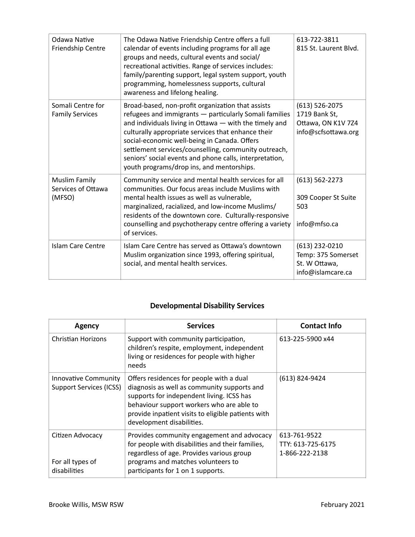| Odawa Native<br>Friendship Centre             | The Odawa Native Friendship Centre offers a full<br>calendar of events including programs for all age<br>groups and needs, cultural events and social/<br>recreational activities. Range of services includes:<br>family/parenting support, legal system support, youth<br>programming, homelessness supports, cultural<br>awareness and lifelong healing.                                                                                  | 613-722-3811<br>815 St. Laurent Blvd.                                            |
|-----------------------------------------------|---------------------------------------------------------------------------------------------------------------------------------------------------------------------------------------------------------------------------------------------------------------------------------------------------------------------------------------------------------------------------------------------------------------------------------------------|----------------------------------------------------------------------------------|
| Somali Centre for<br><b>Family Services</b>   | Broad-based, non-profit organization that assists<br>refugees and immigrants - particularly Somali families<br>and individuals living in Ottawa - with the timely and<br>culturally appropriate services that enhance their<br>social-economic well-being in Canada. Offers<br>settlement services/counselling, community outreach,<br>seniors' social events and phone calls, interpretation,<br>youth programs/drop ins, and mentorships. | $(613) 526 - 2075$<br>1719 Bank St,<br>Ottawa, ON K1V 7Z4<br>info@scfsottawa.org |
| Muslim Family<br>Services of Ottawa<br>(MFSO) | Community service and mental health services for all<br>communities. Our focus areas include Muslims with<br>mental health issues as well as vulnerable,<br>marginalized, racialized, and low-income Muslims/<br>residents of the downtown core. Culturally-responsive<br>counselling and psychotherapy centre offering a variety<br>of services.                                                                                           | $(613) 562 - 2273$<br>309 Cooper St Suite<br>503<br>info@mfso.ca                 |
| <b>Islam Care Centre</b>                      | Islam Care Centre has served as Ottawa's downtown<br>Muslim organization since 1993, offering spiritual,<br>social, and mental health services.                                                                                                                                                                                                                                                                                             | (613) 232-0210<br>Temp: 375 Somerset<br>St. W Ottawa,<br>info@islamcare.ca       |

## **Developmental Disability Services**

| Agency                                                        | <b>Services</b>                                                                                                                                                                                                                                                      | <b>Contact Info</b>                                 |
|---------------------------------------------------------------|----------------------------------------------------------------------------------------------------------------------------------------------------------------------------------------------------------------------------------------------------------------------|-----------------------------------------------------|
| <b>Christian Horizons</b>                                     | Support with community participation,<br>children's respite, employment, independent<br>living or residences for people with higher<br>needs                                                                                                                         | 613-225-5900 x44                                    |
| <b>Innovative Community</b><br><b>Support Services (ICSS)</b> | Offers residences for people with a dual<br>diagnosis as well as community supports and<br>supports for independent living. ICSS has<br>behaviour support workers who are able to<br>provide inpatient visits to eligible patients with<br>development disabilities. | (613) 824-9424                                      |
| Citizen Advocacy<br>For all types of<br>disabilities          | Provides community engagement and advocacy<br>for people with disabilities and their families,<br>regardless of age. Provides various group<br>programs and matches volunteers to<br>participants for 1 on 1 supports.                                               | 613-761-9522<br>TTY: 613-725-6175<br>1-866-222-2138 |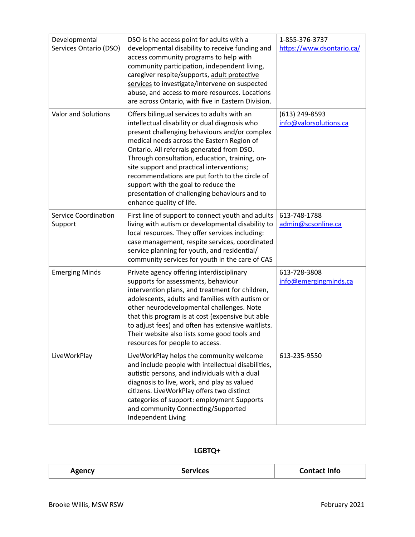| Developmental<br>Services Ontario (DSO) | DSO is the access point for adults with a<br>developmental disability to receive funding and<br>access community programs to help with<br>community participation, independent living,<br>caregiver respite/supports, adult protective<br>services to investigate/intervene on suspected<br>abuse, and access to more resources. Locations<br>are across Ontario, with five in Eastern Division.                                                                                                               | 1-855-376-3737<br>https://www.dsontario.ca/ |
|-----------------------------------------|----------------------------------------------------------------------------------------------------------------------------------------------------------------------------------------------------------------------------------------------------------------------------------------------------------------------------------------------------------------------------------------------------------------------------------------------------------------------------------------------------------------|---------------------------------------------|
| <b>Valor and Solutions</b>              | Offers bilingual services to adults with an<br>intellectual disability or dual diagnosis who<br>present challenging behaviours and/or complex<br>medical needs across the Eastern Region of<br>Ontario. All referrals generated from DSO.<br>Through consultation, education, training, on-<br>site support and practical interventions;<br>recommendations are put forth to the circle of<br>support with the goal to reduce the<br>presentation of challenging behaviours and to<br>enhance quality of life. | $(613)$ 249-8593<br>info@valorsolutions.ca  |
| Service Coordination<br>Support         | First line of support to connect youth and adults<br>living with autism or developmental disability to<br>local resources. They offer services including:<br>case management, respite services, coordinated<br>service planning for youth, and residential/<br>community services for youth in the care of CAS                                                                                                                                                                                                 | 613-748-1788<br>admin@scsonline.ca          |
| <b>Emerging Minds</b>                   | Private agency offering interdisciplinary<br>supports for assessments, behaviour<br>intervention plans, and treatment for children,<br>adolescents, adults and families with autism or<br>other neurodevelopmental challenges. Note<br>that this program is at cost (expensive but able<br>to adjust fees) and often has extensive waitlists.<br>Their website also lists some good tools and<br>resources for people to access.                                                                               | 613-728-3808<br>info@emergingminds.ca       |
| LiveWorkPlay                            | LiveWorkPlay helps the community welcome<br>and include people with intellectual disabilities,<br>autistic persons, and individuals with a dual<br>diagnosis to live, work, and play as valued<br>citizens. LiveWorkPlay offers two distinct<br>categories of support: employment Supports<br>and community Connecting/Supported<br>Independent Living                                                                                                                                                         | 613-235-9550                                |

## **LGBTQ+**

| ------<br>$\overline{\phantom{0}}$ |  | linta<br>чно |
|------------------------------------|--|--------------|
|------------------------------------|--|--------------|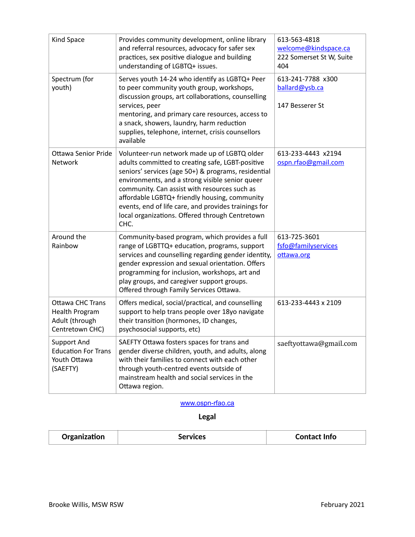| Kind Space                                                                            | Provides community development, online library<br>and referral resources, advocacy for safer sex<br>practices, sex positive dialogue and building<br>understanding of LGBTQ+ issues.                                                                                                                                                                                                                                           | 613-563-4818<br>welcome@kindspace.ca<br>222 Somerset St W, Suite<br>404 |
|---------------------------------------------------------------------------------------|--------------------------------------------------------------------------------------------------------------------------------------------------------------------------------------------------------------------------------------------------------------------------------------------------------------------------------------------------------------------------------------------------------------------------------|-------------------------------------------------------------------------|
| Spectrum (for<br>youth)                                                               | Serves youth 14-24 who identify as LGBTQ+ Peer<br>to peer community youth group, workshops,<br>discussion groups, art collaborations, counselling<br>services, peer<br>mentoring, and primary care resources, access to<br>a snack, showers, laundry, harm reduction<br>supplies, telephone, internet, crisis counsellors<br>available                                                                                         | 613-241-7788 x300<br>ballard@ysb.ca<br>147 Besserer St                  |
| <b>Ottawa Senior Pride</b><br>Network                                                 | Volunteer-run network made up of LGBTQ older<br>adults committed to creating safe, LGBT-positive<br>seniors' services (age 50+) & programs, residential<br>environments, and a strong visible senior queer<br>community. Can assist with resources such as<br>affordable LGBTQ+ friendly housing, community<br>events, end of life care, and provides trainings for<br>local organizations. Offered through Centretown<br>CHC. | 613-233-4443 x2194<br>ospn.rfao@gmail.com                               |
| Around the<br>Rainbow                                                                 | Community-based program, which provides a full<br>range of LGBTTQ+ education, programs, support<br>services and counselling regarding gender identity,<br>gender expression and sexual orientation. Offers<br>programming for inclusion, workshops, art and<br>play groups, and caregiver support groups.<br>Offered through Family Services Ottawa.                                                                           | 613-725-3601<br>fsfo@familyservices<br>ottawa.org                       |
| <b>Ottawa CHC Trans</b><br><b>Health Program</b><br>Adult (through<br>Centretown CHC) | Offers medical, social/practical, and counselling<br>support to help trans people over 18yo navigate<br>their transition (hormones, ID changes,<br>psychosocial supports, etc)                                                                                                                                                                                                                                                 | 613-233-4443 x 2109                                                     |
| Support And<br><b>Education For Trans</b><br>Youth Ottawa<br>(SAEFTY)                 | SAEFTY Ottawa fosters spaces for trans and<br>gender diverse children, youth, and adults, along<br>with their families to connect with each other<br>through youth-centred events outside of<br>mainstream health and social services in the<br>Ottawa region.                                                                                                                                                                 | saeftyottawa@gmail.com                                                  |

#### [www.ospn-rfao.ca](http://www.ospn-rfao.ca)

**Legal** 

| ا  .<br><u> Jroanization</u><br>Info<br>סמיוו |
|-----------------------------------------------|
|-----------------------------------------------|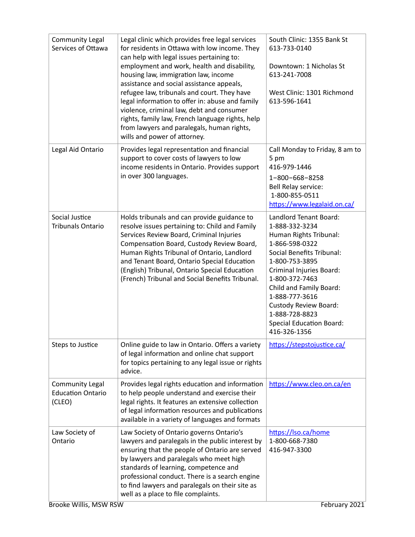| <b>Community Legal</b><br>Services of Ottawa                 | Legal clinic which provides free legal services<br>for residents in Ottawa with low income. They<br>can help with legal issues pertaining to:<br>employment and work, health and disability,<br>housing law, immigration law, income<br>assistance and social assistance appeals,<br>refugee law, tribunals and court. They have<br>legal information to offer in: abuse and family<br>violence, criminal law, debt and consumer<br>rights, family law, French language rights, help<br>from lawyers and paralegals, human rights,<br>wills and power of attorney. | South Clinic: 1355 Bank St<br>613-733-0140<br>Downtown: 1 Nicholas St<br>613-241-7008<br>West Clinic: 1301 Richmond<br>613-596-1641                                                                                                                                                                                                        |
|--------------------------------------------------------------|--------------------------------------------------------------------------------------------------------------------------------------------------------------------------------------------------------------------------------------------------------------------------------------------------------------------------------------------------------------------------------------------------------------------------------------------------------------------------------------------------------------------------------------------------------------------|--------------------------------------------------------------------------------------------------------------------------------------------------------------------------------------------------------------------------------------------------------------------------------------------------------------------------------------------|
| Legal Aid Ontario                                            | Provides legal representation and financial<br>support to cover costs of lawyers to low<br>income residents in Ontario. Provides support<br>in over 300 languages.                                                                                                                                                                                                                                                                                                                                                                                                 | Call Monday to Friday, 8 am to<br>5 pm<br>416-979-1446<br>1-800-668-8258<br>Bell Relay service:<br>1-800-855-0511<br>https://www.legalaid.on.ca/                                                                                                                                                                                           |
| Social Justice<br><b>Tribunals Ontario</b>                   | Holds tribunals and can provide guidance to<br>resolve issues pertaining to: Child and Family<br>Services Review Board, Criminal Injuries<br>Compensation Board, Custody Review Board,<br>Human Rights Tribunal of Ontario, Landlord<br>and Tenant Board, Ontario Special Education<br>(English) Tribunal, Ontario Special Education<br>(French) Tribunal and Social Benefits Tribunal.                                                                                                                                                                            | Landlord Tenant Board:<br>1-888-332-3234<br>Human Rights Tribunal:<br>1-866-598-0322<br><b>Social Benefits Tribunal:</b><br>1-800-753-3895<br>Criminal Injuries Board:<br>1-800-372-7463<br>Child and Family Board:<br>1-888-777-3616<br><b>Custody Review Board:</b><br>1-888-728-8823<br><b>Special Education Board:</b><br>416-326-1356 |
| Steps to Justice                                             | Online guide to law in Ontario. Offers a variety<br>of legal information and online chat support<br>for topics pertaining to any legal issue or rights<br>advice.                                                                                                                                                                                                                                                                                                                                                                                                  | https://stepstojustice.ca/                                                                                                                                                                                                                                                                                                                 |
| <b>Community Legal</b><br><b>Education Ontario</b><br>(CLEO) | Provides legal rights education and information<br>to help people understand and exercise their<br>legal rights. It features an extensive collection<br>of legal information resources and publications<br>available in a variety of languages and formats                                                                                                                                                                                                                                                                                                         | https://www.cleo.on.ca/en                                                                                                                                                                                                                                                                                                                  |
| Law Society of<br>Ontario<br>Brooke Willis, MSW RSW          | Law Society of Ontario governs Ontario's<br>lawyers and paralegals in the public interest by<br>ensuring that the people of Ontario are served<br>by lawyers and paralegals who meet high<br>standards of learning, competence and<br>professional conduct. There is a search engine<br>to find lawyers and paralegals on their site as<br>well as a place to file complaints.                                                                                                                                                                                     | https://lso.ca/home<br>1-800-668-7380<br>416-947-3300<br>February 2021                                                                                                                                                                                                                                                                     |